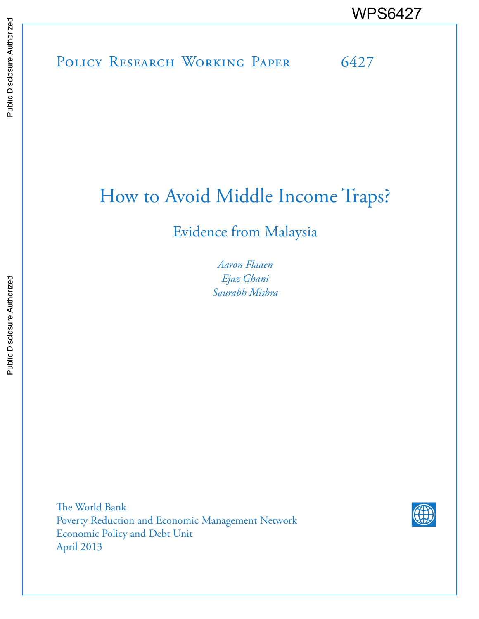POLICY RESEARCH WORKING PAPER 6427 WPS6427

# How to Avoid Middle Income Traps?

# Evidence from Malaysia

*Aaron Flaaen Ejaz Ghani Saurabh Mishra*

The World Bank Poverty Reduction and Economic Management Network Economic Policy and Debt Unit April 2013

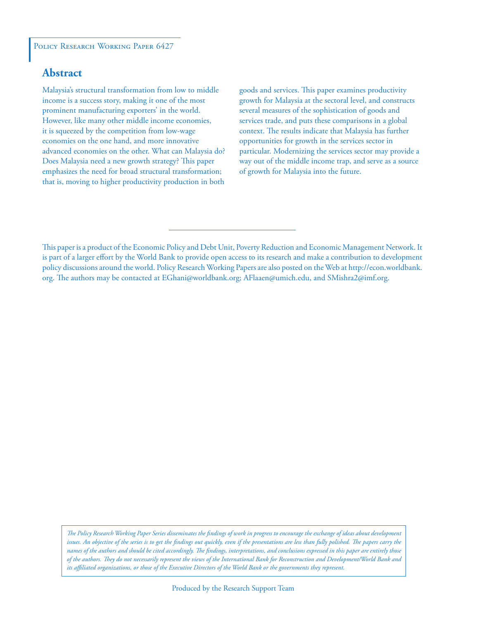#### POLICY RESEARCH WORKING PAPER 6427

## **Abstract**

Malaysia's structural transformation from low to middle income is a success story, making it one of the most prominent manufacturing exporters' in the world. However, like many other middle income economies, it is squeezed by the competition from low-wage economies on the one hand, and more innovative advanced economies on the other. What can Malaysia do? Does Malaysia need a new growth strategy? This paper emphasizes the need for broad structural transformation; that is, moving to higher productivity production in both

goods and services. This paper examines productivity growth for Malaysia at the sectoral level, and constructs several measures of the sophistication of goods and services trade, and puts these comparisons in a global context. The results indicate that Malaysia has further opportunities for growth in the services sector in particular. Modernizing the services sector may provide a way out of the middle income trap, and serve as a source of growth for Malaysia into the future.

This paper is a product of the Economic Policy and Debt Unit, Poverty Reduction and Economic Management Network. It is part of a larger effort by the World Bank to provide open access to its research and make a contribution to development policy discussions around the world. Policy Research Working Papers are also posted on the Web at http://econ.worldbank. org. The authors may be contacted at EGhani@worldbank.org; AFlaaen@umich.edu, and SMishra2@imf.org.

*The Policy Research Working Paper Series disseminates the findings of work in progress to encourage the exchange of ideas about development*  issues. An objective of the series is to get the findings out quickly, even if the presentations are less than fully polished. The papers carry the *names of the authors and should be cited accordingly. The findings, interpretations, and conclusions expressed in this paper are entirely those of the authors. They do not necessarily represent the views of the International Bank for Reconstruction and Development/World Bank and its affiliated organizations, or those of the Executive Directors of the World Bank or the governments they represent.*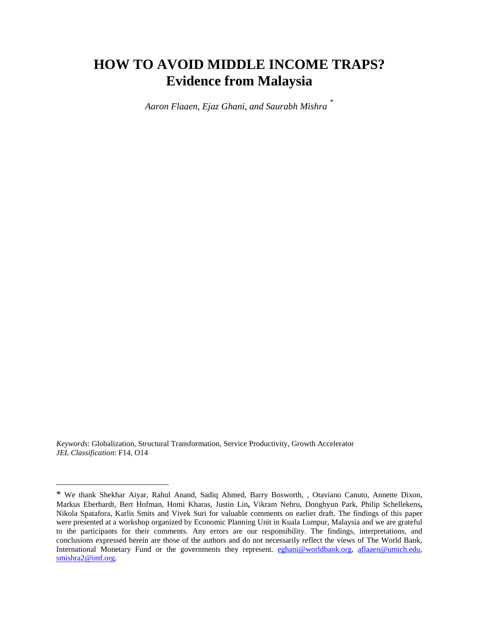# **HOW TO AVOID MIDDLE INCOME TRAPS? Evidence from Malaysia**

*Aaron Flaaen, Ejaz Ghani, and Saurabh Mishra* [\\*](#page-2-0)

*Keywords*: Globalization, Structural Transformation, Service Productivity, Growth Accelerator *JEL Classification*: F14, O14

l

<span id="page-2-0"></span><sup>\*</sup> We thank Shekhar Aiyar, Rahul Anand, Sadiq Ahmed, Barry Bosworth, , Otaviano Canuto, Annette Dixon, Markus Eberhardt, Bert Hofman, Homi Kharas, Justin Lin**,** Vikram Nehru, Donghyun Park, Philip Schellekens**,**  Nikola Spatafora, Karlis Smits and Vivek Suri for valuable comments on earlier draft. The findings of this paper were presented at a workshop organized by Economic Planning Unit in Kuala Lumpur, Malaysia and we are grateful to the participants for their comments. Any errors are our responsibility. The findings, interpretations, and conclusions expressed herein are those of the authors and do not necessarily reflect the views of The World Bank, International Monetary Fund or the governments they represent. [eghani@worldbank.org,](mailto:eghani@worldbank.org) aflaaen@umich.edu, [smishra2@imf.org.](mailto:smishra2@imf.org)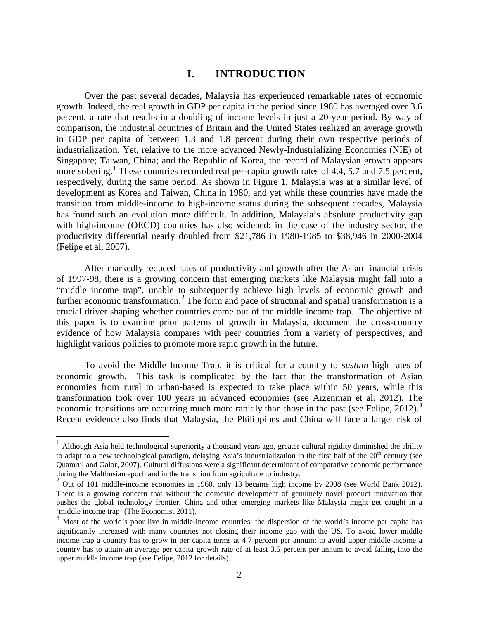## **I. INTRODUCTION**

Over the past several decades, Malaysia has experienced remarkable rates of economic growth. Indeed, the real growth in GDP per capita in the period since 1980 has averaged over 3.6 percent, a rate that results in a doubling of income levels in just a 20-year period. By way of comparison, the industrial countries of Britain and the United States realized an average growth in GDP per capita of between 1.3 and 1.8 percent during their own respective periods of industrialization. Yet, relative to the more advanced Newly-Industrializing Economies (NIE) of Singapore; Taiwan, China; and the Republic of Korea, the record of Malaysian growth appears more sobering.<sup>[1](#page-3-0)</sup> These countries recorded real per-capita growth rates of 4.4, 5.7 and 7.5 percent, respectively, during the same period. As shown in Figure 1, Malaysia was at a similar level of development as Korea and Taiwan, China in 1980, and yet while these countries have made the transition from middle-income to high-income status during the subsequent decades, Malaysia has found such an evolution more difficult. In addition, Malaysia's absolute productivity gap with high-income (OECD) countries has also widened; in the case of the industry sector, the productivity differential nearly doubled from \$21,786 in 1980-1985 to \$38,946 in 2000-2004 (Felipe et al, 2007).

After markedly reduced rates of productivity and growth after the Asian financial crisis of 1997-98, there is a growing concern that emerging markets like Malaysia might fall into a "middle income trap", unable to subsequently achieve high levels of economic growth and further economic transformation.<sup>[2](#page-3-1)</sup> The form and pace of structural and spatial transformation is a crucial driver shaping whether countries come out of the middle income trap. The objective of this paper is to examine prior patterns of growth in Malaysia, document the cross-country evidence of how Malaysia compares with peer countries from a variety of perspectives, and highlight various policies to promote more rapid growth in the future.

 To avoid the Middle Income Trap, it is critical for a country to *sustain* high rates of economic growth. This task is complicated by the fact that the transformation of Asian economies from rural to urban-based is expected to take place within 50 years, while this transformation took over 100 years in advanced economies (see Aizenman et al. 2012). The economic transitions are occurring much more rapidly than those in the past (see Felipe, 2012).<sup>[3](#page-3-2)</sup> Recent evidence also finds that Malaysia, the Philippines and China will face a larger risk of

 $\overline{\phantom{a}}$ 

<span id="page-3-0"></span> $1$  Although Asia held technological superiority a thousand years ago, greater cultural rigidity diminished the ability to adapt to a new technological paradigm, delaying Asia's industrialization in the first half of the  $20<sup>th</sup>$  century (see Quamrul and Galor, 2007). Cultural diffusions were a significant determinant of comparative economic performance during the Malthusian epoch and in the transition from agriculture to industry.

<span id="page-3-1"></span><sup>&</sup>lt;sup>2</sup> Out of 101 middle-income economies in 1960, only 13 became high income by 2008 (see World Bank 2012). There is a growing concern that without the domestic development of genuinely novel product innovation that pushes the global technology frontier, China and other emerging markets like Malaysia might get caught in a

<span id="page-3-2"></span> $\frac{3}{3}$  Most of the world's poor live in middle-income countries; the dispersion of the world's income per capita has significantly increased with many countries not closing their income gap with the US. To avoid lower middle income trap a country has to grow in per capita terms at 4.7 percent per annum; to avoid upper middle-income a country has to attain an average per capita growth rate of at least 3.5 percent per annum to avoid falling into the upper middle income trap (see Felipe, 2012 for details).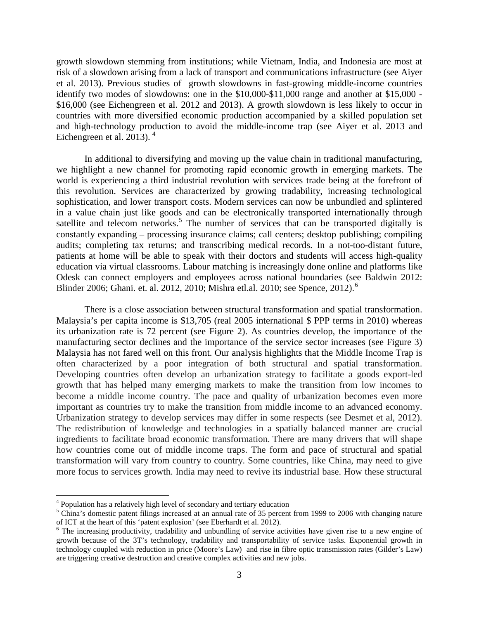growth slowdown stemming from institutions; while Vietnam, India, and Indonesia are most at risk of a slowdown arising from a lack of transport and communications infrastructure (see Aiyer et al. 2013). Previous studies of growth slowdowns in fast-growing middle-income countries identify two modes of slowdowns: one in the \$10,000-\$11,000 range and another at \$15,000 - \$16,000 (see Eichengreen et al. 2012 and 2013). A growth slowdown is less likely to occur in countries with more diversified economic production accompanied by a skilled population set and high-technology production to avoid the middle-income trap (see Aiyer et al. 2013 and Eichengreen et al. 2013).<sup>[4](#page-4-0)</sup>

 In additional to diversifying and moving up the value chain in traditional manufacturing, we highlight a new channel for promoting rapid economic growth in emerging markets. The world is experiencing a third industrial revolution with services trade being at the forefront of this revolution. Services are characterized by growing tradability, increasing technological sophistication, and lower transport costs. Modern services can now be unbundled and splintered in a value chain just like goods and can be electronically transported internationally through satellite and telecom networks.<sup>[5](#page-4-1)</sup> The number of services that can be transported digitally is constantly expanding – processing insurance claims; call centers; desktop publishing; compiling audits; completing tax returns; and transcribing medical records. In a not-too-distant future, patients at home will be able to speak with their doctors and students will access high-quality education via virtual classrooms. Labour matching is increasingly done online and platforms like Odesk can connect employers and employees across national boundaries (see Baldwin 2012: Blinder 200[6](#page-4-2); Ghani. et. al. 2012, 2010; Mishra etl.al. 2010; see Spence, 2012).<sup>6</sup>

 There is a close association between structural transformation and spatial transformation. Malaysia's per capita income is \$13,705 (real 2005 international \$ PPP terms in 2010) whereas its urbanization rate is 72 percent (see Figure 2). As countries develop, the importance of the manufacturing sector declines and the importance of the service sector increases (see Figure 3) Malaysia has not fared well on this front. Our analysis highlights that the Middle Income Trap is often characterized by a poor integration of both structural and spatial transformation. Developing countries often develop an urbanization strategy to facilitate a goods export-led growth that has helped many emerging markets to make the transition from low incomes to become a middle income country. The pace and quality of urbanization becomes even more important as countries try to make the transition from middle income to an advanced economy. Urbanization strategy to develop services may differ in some respects (see Desmet et al, 2012). The redistribution of knowledge and technologies in a spatially balanced manner are crucial ingredients to facilitate broad economic transformation. There are many drivers that will shape how countries come out of middle income traps. The form and pace of structural and spatial transformation will vary from country to country. Some countries, like China, may need to give more focus to services growth. India may need to revive its industrial base. How these structural

l

<span id="page-4-0"></span><sup>&</sup>lt;sup>4</sup> Population has a relatively high level of secondary and tertiary education

<span id="page-4-1"></span> $5$  China's domestic patent filings increased at an annual rate of 35 percent from 1999 to 2006 with changing nature of ICT at the heart of this 'patent explosion' (see Eberhardt et al. 2012).

<span id="page-4-2"></span> $\delta$  The increasing productivity, tradability and unbundling of service activities have given rise to a new engine of growth because of the 3T's technology, tradability and transportability of service tasks. Exponential growth in technology coupled with reduction in price (Moore's Law) and rise in fibre optic transmission rates (Gilder's Law) are triggering creative destruction and creative complex activities and new jobs.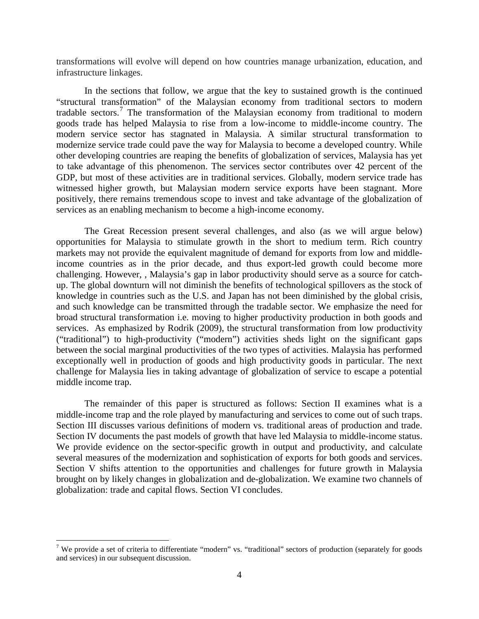transformations will evolve will depend on how countries manage urbanization, education, and infrastructure linkages.

In the sections that follow, we argue that the key to sustained growth is the continued "structural transformation" of the Malaysian economy from traditional sectors to modern tradable sectors.<sup>[7](#page-5-0)</sup> The transformation of the Malaysian economy from traditional to modern goods trade has helped Malaysia to rise from a low-income to middle-income country. The modern service sector has stagnated in Malaysia. A similar structural transformation to modernize service trade could pave the way for Malaysia to become a developed country. While other developing countries are reaping the benefits of globalization of services, Malaysia has yet to take advantage of this phenomenon. The services sector contributes over 42 percent of the GDP, but most of these activities are in traditional services. Globally, modern service trade has witnessed higher growth, but Malaysian modern service exports have been stagnant. More positively, there remains tremendous scope to invest and take advantage of the globalization of services as an enabling mechanism to become a high-income economy.

The Great Recession present several challenges, and also (as we will argue below) opportunities for Malaysia to stimulate growth in the short to medium term. Rich country markets may not provide the equivalent magnitude of demand for exports from low and middleincome countries as in the prior decade, and thus export-led growth could become more challenging. However, , Malaysia's gap in labor productivity should serve as a source for catchup. The global downturn will not diminish the benefits of technological spillovers as the stock of knowledge in countries such as the U.S. and Japan has not been diminished by the global crisis, and such knowledge can be transmitted through the tradable sector. We emphasize the need for broad structural transformation i.e. moving to higher productivity production in both goods and services. As emphasized by Rodrik (2009), the structural transformation from low productivity ("traditional") to high-productivity ("modern") activities sheds light on the significant gaps between the social marginal productivities of the two types of activities. Malaysia has performed exceptionally well in production of goods and high productivity goods in particular. The next challenge for Malaysia lies in taking advantage of globalization of service to escape a potential middle income trap.

 The remainder of this paper is structured as follows: Section II examines what is a middle-income trap and the role played by manufacturing and services to come out of such traps. Section III discusses various definitions of modern vs. traditional areas of production and trade. Section IV documents the past models of growth that have led Malaysia to middle-income status. We provide evidence on the sector-specific growth in output and productivity, and calculate several measures of the modernization and sophistication of exports for both goods and services. Section V shifts attention to the opportunities and challenges for future growth in Malaysia brought on by likely changes in globalization and de-globalization. We examine two channels of globalization: trade and capital flows. Section VI concludes.

l

<span id="page-5-0"></span><sup>&</sup>lt;sup>7</sup> We provide a set of criteria to differentiate "modern" vs. "traditional" sectors of production (separately for goods and services) in our subsequent discussion.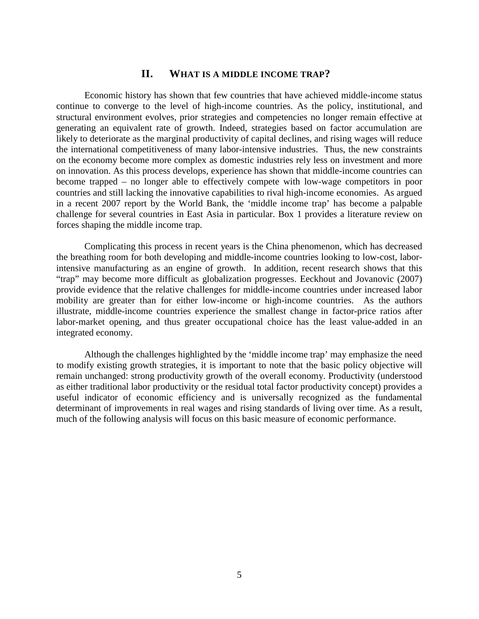## **II. WHAT IS A MIDDLE INCOME TRAP?**

Economic history has shown that few countries that have achieved middle-income status continue to converge to the level of high-income countries. As the policy, institutional, and structural environment evolves, prior strategies and competencies no longer remain effective at generating an equivalent rate of growth. Indeed, strategies based on factor accumulation are likely to deteriorate as the marginal productivity of capital declines, and rising wages will reduce the international competitiveness of many labor-intensive industries. Thus, the new constraints on the economy become more complex as domestic industries rely less on investment and more on innovation. As this process develops, experience has shown that middle-income countries can become trapped – no longer able to effectively compete with low-wage competitors in poor countries and still lacking the innovative capabilities to rival high-income economies. As argued in a recent 2007 report by the World Bank, the 'middle income trap' has become a palpable challenge for several countries in East Asia in particular. Box 1 provides a literature review on forces shaping the middle income trap.

Complicating this process in recent years is the China phenomenon, which has decreased the breathing room for both developing and middle-income countries looking to low-cost, laborintensive manufacturing as an engine of growth. In addition, recent research shows that this "trap" may become more difficult as globalization progresses. Eeckhout and Jovanovic (2007) provide evidence that the relative challenges for middle-income countries under increased labor mobility are greater than for either low-income or high-income countries. As the authors illustrate, middle-income countries experience the smallest change in factor-price ratios after labor-market opening, and thus greater occupational choice has the least value-added in an integrated economy.

Although the challenges highlighted by the 'middle income trap' may emphasize the need to modify existing growth strategies, it is important to note that the basic policy objective will remain unchanged: strong productivity growth of the overall economy. Productivity (understood as either traditional labor productivity or the residual total factor productivity concept) provides a useful indicator of economic efficiency and is universally recognized as the fundamental determinant of improvements in real wages and rising standards of living over time. As a result, much of the following analysis will focus on this basic measure of economic performance.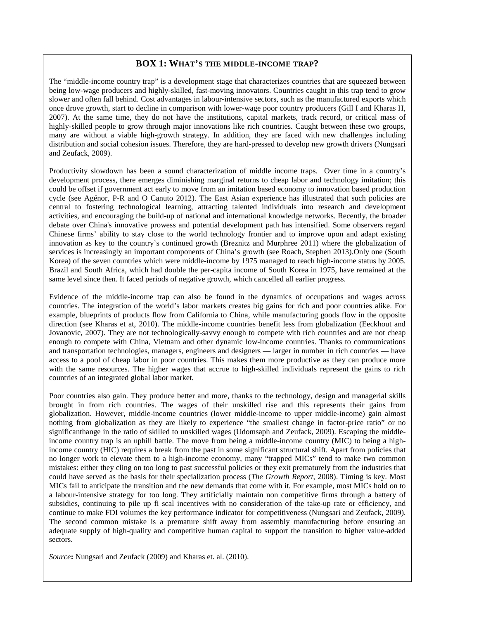#### **BOX 1: WHAT'S THE MIDDLE-INCOME TRAP?**

The "middle-income country trap" is a development stage that characterizes countries that are squeezed between being low-wage producers and highly-skilled, fast-moving innovators. Countries caught in this trap tend to grow slower and often fall behind. Cost advantages in labour-intensive sectors, such as the manufactured exports which once drove growth, start to decline in comparison with lower-wage poor country producers (Gill I and Kharas H, 2007). At the same time, they do not have the institutions, capital markets, track record, or critical mass of highly-skilled people to grow through major innovations like rich countries. Caught between these two groups, many are without a viable high-growth strategy. In addition, they are faced with new challenges including distribution and social cohesion issues. Therefore, they are hard-pressed to develop new growth drivers (Nungsari and Zeufack, 2009).

Productivity slowdown has been a sound characterization of middle income traps. Over time in a country's development process, there emerges diminishing marginal returns to cheap labor and technology imitation; this could be offset if government act early to move from an imitation based economy to innovation based production cycle (see Agénor, P-R and O Canuto 2012). The East Asian experience has illustrated that such policies are central to fostering technological learning, attracting talented individuals into research and development activities, and encouraging the build-up of national and international knowledge networks. Recently, the broader debate over China's innovative prowess and potential development path has intensified. Some observers regard Chinese firms' ability to stay close to the world technology frontier and to improve upon and adapt existing innovation as key to the country's continued growth (Breznitz and Murphree 2011) where the globalization of services is increasingly an important components of China's growth (see Roach, Stephen 2013).Only one (South Korea) of the seven countries which were middle-income by 1975 managed to reach high-income status by 2005. Brazil and South Africa, which had double the per-capita income of South Korea in 1975, have remained at the same level since then. It faced periods of negative growth, which cancelled all earlier progress.

Evidence of the middle-income trap can also be found in the dynamics of occupations and wages across countries. The integration of the world's labor markets creates big gains for rich and poor countries alike. For example, blueprints of products flow from California to China, while manufacturing goods flow in the opposite direction (see Kharas et at, 2010). The middle-income countries benefit less from globalization (Eeckhout and Jovanovic, 2007). They are not technologically-savvy enough to compete with rich countries and are not cheap enough to compete with China, Vietnam and other dynamic low-income countries. Thanks to communications and transportation technologies, managers, engineers and designers — larger in number in rich countries — have access to a pool of cheap labor in poor countries. This makes them more productive as they can produce more with the same resources. The higher wages that accrue to high-skilled individuals represent the gains to rich countries of an integrated global labor market.

Poor countries also gain. They produce better and more, thanks to the technology, design and managerial skills brought in from rich countries. The wages of their unskilled rise and this represents their gains from globalization. However, middle-income countries (lower middle-income to upper middle-income) gain almost nothing from globalization as they are likely to experience "the smallest change in factor-price ratio" or no significanthange in the ratio of skilled to unskilled wages (Udomsaph and Zeufack, 2009). Escaping the middleincome country trap is an uphill battle. The move from being a middle-income country (MIC) to being a highincome country (HIC) requires a break from the past in some significant structural shift. Apart from policies that no longer work to elevate them to a high-income economy, many "trapped MICs" tend to make two common mistakes: either they cling on too long to past successful policies or they exit prematurely from the industries that could have served as the basis for their specialization process (*The Growth Report*, 2008). Timing is key. Most MICs fail to anticipate the transition and the new demands that come with it. For example, most MICs hold on to a labour-intensive strategy for too long. They artificially maintain non competitive firms through a battery of subsidies, continuing to pile up fi scal incentives with no consideration of the take-up rate or efficiency, and continue to make FDI volumes the key performance indicator for competitiveness (Nungsari and Zeufack, 2009). The second common mistake is a premature shift away from assembly manufacturing before ensuring an adequate supply of high-quality and competitive human capital to support the transition to higher value-added sectors.

*Source***:** Nungsari and Zeufack (2009) and Kharas et. al. (2010).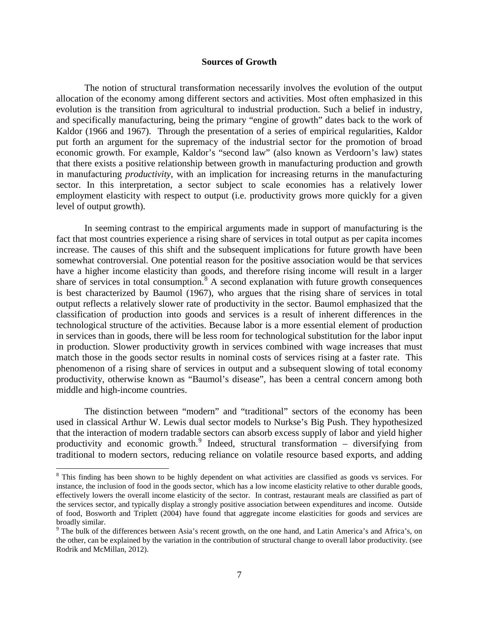#### **Sources of Growth**

The notion of structural transformation necessarily involves the evolution of the output allocation of the economy among different sectors and activities. Most often emphasized in this evolution is the transition from agricultural to industrial production. Such a belief in industry, and specifically manufacturing, being the primary "engine of growth" dates back to the work of Kaldor (1966 and 1967). Through the presentation of a series of empirical regularities, Kaldor put forth an argument for the supremacy of the industrial sector for the promotion of broad economic growth. For example, Kaldor's "second law" (also known as Verdoorn's law) states that there exists a positive relationship between growth in manufacturing production and growth in manufacturing *productivity*, with an implication for increasing returns in the manufacturing sector. In this interpretation, a sector subject to scale economies has a relatively lower employment elasticity with respect to output (i.e. productivity grows more quickly for a given level of output growth).

In seeming contrast to the empirical arguments made in support of manufacturing is the fact that most countries experience a rising share of services in total output as per capita incomes increase. The causes of this shift and the subsequent implications for future growth have been somewhat controversial. One potential reason for the positive association would be that services have a higher income elasticity than goods, and therefore rising income will result in a larger share of services in total consumption.<sup>[8](#page-8-0)</sup> A second explanation with future growth consequences is best characterized by Baumol (1967), who argues that the rising share of services in total output reflects a relatively slower rate of productivity in the sector. Baumol emphasized that the classification of production into goods and services is a result of inherent differences in the technological structure of the activities. Because labor is a more essential element of production in services than in goods, there will be less room for technological substitution for the labor input in production. Slower productivity growth in services combined with wage increases that must match those in the goods sector results in nominal costs of services rising at a faster rate. This phenomenon of a rising share of services in output and a subsequent slowing of total economy productivity, otherwise known as "Baumol's disease", has been a central concern among both middle and high-income countries.

 The distinction between "modern" and "traditional" sectors of the economy has been used in classical Arthur W. Lewis dual sector models to Nurkse's Big Push. They hypothesized that the interaction of modern tradable sectors can absorb excess supply of labor and yield higher productivity and economic growth.<sup>[9](#page-8-1)</sup> Indeed, structural transformation – diversifying from traditional to modern sectors, reducing reliance on volatile resource based exports, and adding

l

<span id="page-8-0"></span><sup>&</sup>lt;sup>8</sup> This finding has been shown to be highly dependent on what activities are classified as goods vs services. For instance, the inclusion of food in the goods sector, which has a low income elasticity relative to other durable goods, effectively lowers the overall income elasticity of the sector. In contrast, restaurant meals are classified as part of the services sector, and typically display a strongly positive association between expenditures and income. Outside of food, Bosworth and Triplett (2004) have found that aggregate income elasticities for goods and services are broadly similar.

<span id="page-8-1"></span><sup>&</sup>lt;sup>9</sup> The bulk of the differences between Asia's recent growth, on the one hand, and Latin America's and Africa's, on the other, can be explained by the variation in the contribution of structural change to overall labor productivity. (see Rodrik and McMillan, 2012).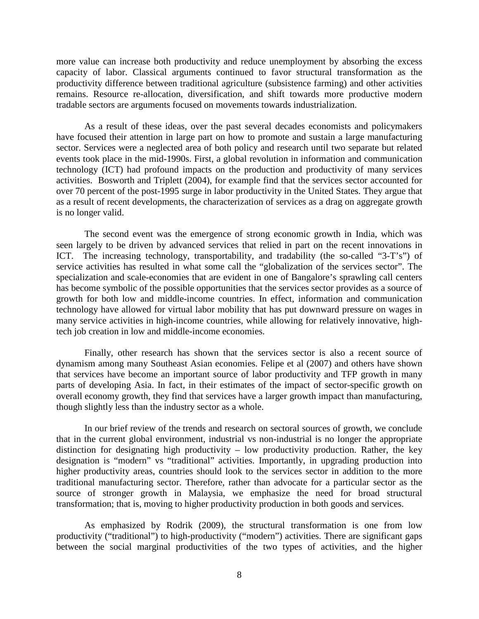more value can increase both productivity and reduce unemployment by absorbing the excess capacity of labor. Classical arguments continued to favor structural transformation as the productivity difference between traditional agriculture (subsistence farming) and other activities remains. Resource re-allocation, diversification, and shift towards more productive modern tradable sectors are arguments focused on movements towards industrialization.

As a result of these ideas, over the past several decades economists and policymakers have focused their attention in large part on how to promote and sustain a large manufacturing sector. Services were a neglected area of both policy and research until two separate but related events took place in the mid-1990s. First, a global revolution in information and communication technology (ICT) had profound impacts on the production and productivity of many services activities. Bosworth and Triplett (2004), for example find that the services sector accounted for over 70 percent of the post-1995 surge in labor productivity in the United States. They argue that as a result of recent developments, the characterization of services as a drag on aggregate growth is no longer valid.

The second event was the emergence of strong economic growth in India, which was seen largely to be driven by advanced services that relied in part on the recent innovations in ICT. The increasing technology, transportability, and tradability (the so-called "3-T's") of service activities has resulted in what some call the "globalization of the services sector". The specialization and scale-economies that are evident in one of Bangalore's sprawling call centers has become symbolic of the possible opportunities that the services sector provides as a source of growth for both low and middle-income countries. In effect, information and communication technology have allowed for virtual labor mobility that has put downward pressure on wages in many service activities in high-income countries, while allowing for relatively innovative, hightech job creation in low and middle-income economies.

Finally, other research has shown that the services sector is also a recent source of dynamism among many Southeast Asian economies. Felipe et al (2007) and others have shown that services have become an important source of labor productivity and TFP growth in many parts of developing Asia. In fact, in their estimates of the impact of sector-specific growth on overall economy growth, they find that services have a larger growth impact than manufacturing, though slightly less than the industry sector as a whole.

In our brief review of the trends and research on sectoral sources of growth, we conclude that in the current global environment, industrial vs non-industrial is no longer the appropriate distinction for designating high productivity – low productivity production. Rather, the key designation is "modern" vs "traditional" activities. Importantly, in upgrading production into higher productivity areas, countries should look to the services sector in addition to the more traditional manufacturing sector. Therefore, rather than advocate for a particular sector as the source of stronger growth in Malaysia, we emphasize the need for broad structural transformation; that is, moving to higher productivity production in both goods and services.

As emphasized by Rodrik (2009), the structural transformation is one from low productivity ("traditional") to high-productivity ("modern") activities. There are significant gaps between the social marginal productivities of the two types of activities, and the higher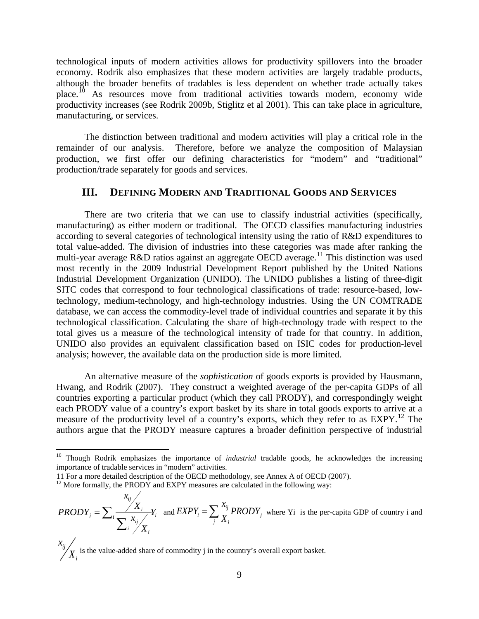technological inputs of modern activities allows for productivity spillovers into the broader economy. Rodrik also emphasizes that these modern activities are largely tradable products, although the broader benefits of tradables is less dependent on whether trade actually takes place.<sup>[10](#page-10-0)</sup> As resources move from traditional activities towards modern, economy wide productivity increases (see Rodrik 2009b, Stiglitz et al 2001). This can take place in agriculture, manufacturing, or services.

The distinction between traditional and modern activities will play a critical role in the remainder of our analysis. Therefore, before we analyze the composition of Malaysian production, we first offer our defining characteristics for "modern" and "traditional" production/trade separately for goods and services.

## **III. DEFINING MODERN AND TRADITIONAL GOODS AND SERVICES**

There are two criteria that we can use to classify industrial activities (specifically, manufacturing) as either modern or traditional. The OECD classifies manufacturing industries according to several categories of technological intensity using the ratio of R&D expenditures to total value-added. The division of industries into these categories was made after ranking the multi-year average R&D ratios against an aggregate OECD average.<sup>[11](#page-10-1)</sup> This distinction was used most recently in the 2009 Industrial Development Report published by the United Nations Industrial Development Organization (UNIDO). The UNIDO publishes a listing of three-digit SITC codes that correspond to four technological classifications of trade: resource-based, lowtechnology, medium-technology, and high-technology industries. Using the UN COMTRADE database, we can access the commodity-level trade of individual countries and separate it by this technological classification. Calculating the share of high-technology trade with respect to the total gives us a measure of the technological intensity of trade for that country. In addition, UNIDO also provides an equivalent classification based on ISIC codes for production-level analysis; however, the available data on the production side is more limited.

An alternative measure of the *sophistication* of goods exports is provided by Hausmann, Hwang, and Rodrik (2007). They construct a weighted average of the per-capita GDPs of all countries exporting a particular product (which they call PRODY), and correspondingly weight each PRODY value of a country's export basket by its share in total goods exports to arrive at a measure of the productivity level of a country's exports, which they refer to as EXPY.<sup>[12](#page-10-2)</sup> The authors argue that the PRODY measure captures a broader definition perspective of industrial

 $\overline{\phantom{a}}$ 

<span id="page-10-0"></span><sup>&</sup>lt;sup>10</sup> Though Rodrik emphasizes the importance of *industrial* tradable goods, he acknowledges the increasing importance of tradable services in "modern" activities.<br>11 For a more detailed description of the OECD methodology, see Annex A of OECD (2007).

<span id="page-10-2"></span><span id="page-10-1"></span> $12$  More formally, the PRODY and EXPY measures are calculated in the following way:

*ij*  $\sum_i \frac{X_i}{\sum_i x_{ij}} Y_i$  $i \neq X_i$ *x*  $PRODY_j = \sum_i \frac{X_i}{\sum_i x_{ij}} Y_j$  $=\sum_{i}\frac{X_i}{\sum_{i}^{x_{ij}}X_i}$  and  $EXPY_i = \sum_{j}\frac{x_{ij}}{X_i}PRODY_j$ *j i x*  $EXPY_i = \sum_{i} \frac{x_{ij}}{X_i} PRODY_j$  where Yi is the per-capita GDP of country i and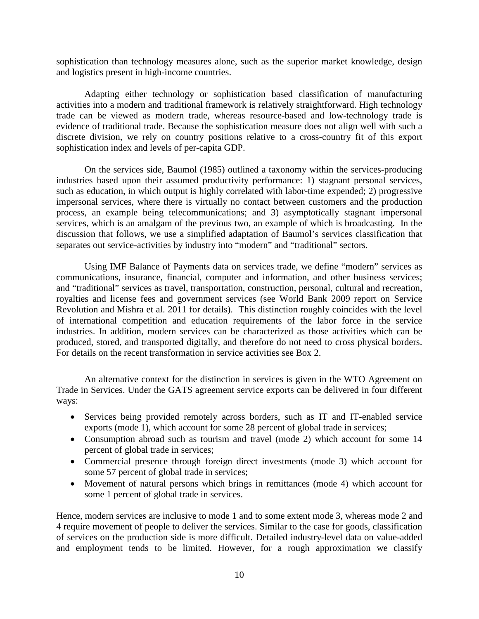sophistication than technology measures alone, such as the superior market knowledge, design and logistics present in high-income countries.

Adapting either technology or sophistication based classification of manufacturing activities into a modern and traditional framework is relatively straightforward. High technology trade can be viewed as modern trade, whereas resource-based and low-technology trade is evidence of traditional trade. Because the sophistication measure does not align well with such a discrete division, we rely on country positions relative to a cross-country fit of this export sophistication index and levels of per-capita GDP.

On the services side, Baumol (1985) outlined a taxonomy within the services-producing industries based upon their assumed productivity performance: 1) stagnant personal services, such as education, in which output is highly correlated with labor-time expended; 2) progressive impersonal services, where there is virtually no contact between customers and the production process, an example being telecommunications; and 3) asymptotically stagnant impersonal services, which is an amalgam of the previous two, an example of which is broadcasting. In the discussion that follows, we use a simplified adaptation of Baumol's services classification that separates out service-activities by industry into "modern" and "traditional" sectors.

Using IMF Balance of Payments data on services trade, we define "modern" services as communications, insurance, financial, computer and information, and other business services; and "traditional" services as travel, transportation, construction, personal, cultural and recreation, royalties and license fees and government services (see World Bank 2009 report on Service Revolution and Mishra et al. 2011 for details). This distinction roughly coincides with the level of international competition and education requirements of the labor force in the service industries. In addition, modern services can be characterized as those activities which can be produced, stored, and transported digitally, and therefore do not need to cross physical borders. For details on the recent transformation in service activities see Box 2.

An alternative context for the distinction in services is given in the WTO Agreement on Trade in Services. Under the GATS agreement service exports can be delivered in four different ways:

- Services being provided remotely across borders, such as IT and IT-enabled service exports (mode 1), which account for some 28 percent of global trade in services;
- Consumption abroad such as tourism and travel (mode 2) which account for some 14 percent of global trade in services;
- Commercial presence through foreign direct investments (mode 3) which account for some 57 percent of global trade in services;
- Movement of natural persons which brings in remittances (mode 4) which account for some 1 percent of global trade in services.

Hence, modern services are inclusive to mode 1 and to some extent mode 3, whereas mode 2 and 4 require movement of people to deliver the services. Similar to the case for goods, classification of services on the production side is more difficult. Detailed industry-level data on value-added and employment tends to be limited. However, for a rough approximation we classify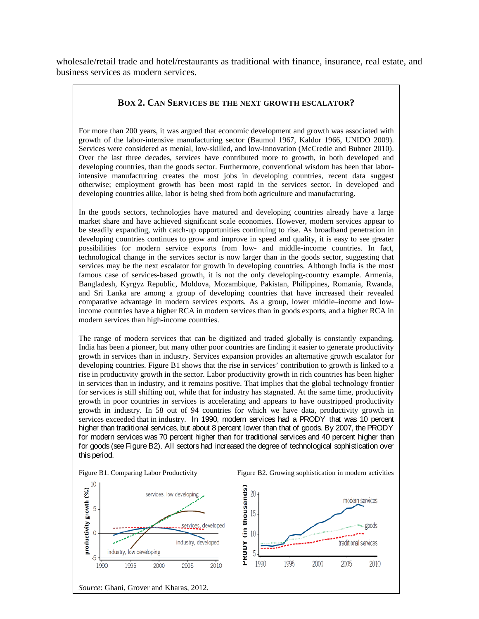wholesale/retail trade and hotel/restaurants as traditional with finance, insurance, real estate, and business services as modern services.

#### **BOX 2. CAN SERVICES BE THE NEXT GROWTH ESCALATOR?**

For more than 200 years, it was argued that economic development and growth was associated with growth of the labor-intensive manufacturing sector (Baumol 1967, Kaldor 1966, UNIDO 2009). Services were considered as menial, low-skilled, and low-innovation (McCredie and Bubner 2010). Over the last three decades, services have contributed more to growth, in both developed and developing countries, than the goods sector. Furthermore, conventional wisdom has been that laborintensive manufacturing creates the most jobs in developing countries, recent data suggest otherwise; employment growth has been most rapid in the services sector. In developed and developing countries alike, labor is being shed from both agriculture and manufacturing.

In the goods sectors, technologies have matured and developing countries already have a large market share and have achieved significant scale economies. However, modern services appear to be steadily expanding, with catch-up opportunities continuing to rise. As broadband penetration in developing countries continues to grow and improve in speed and quality, it is easy to see greater possibilities for modern service exports from low- and middle-income countries. In fact, technological change in the services sector is now larger than in the goods sector, suggesting that services may be the next escalator for growth in developing countries. Although India is the most famous case of services-based growth, it is not the only developing-country example. Armenia, Bangladesh, Kyrgyz Republic, Moldova, Mozambique, Pakistan, Philippines, Romania, Rwanda, and Sri Lanka are among a group of developing countries that have increased their revealed comparative advantage in modern services exports. As a group, lower middle–income and lowincome countries have a higher RCA in modern services than in goods exports, and a higher RCA in modern services than high-income countries.

The range of modern services that can be digitized and traded globally is constantly expanding. India has been a pioneer, but many other poor countries are finding it easier to generate productivity growth in services than in industry. Services expansion provides an alternative growth escalator for developing countries. Figure B1 shows that the rise in services' contribution to growth is linked to a rise in productivity growth in the sector. Labor productivity growth in rich countries has been higher in services than in industry, and it remains positive. That implies that the global technology frontier for services is still shifting out, while that for industry has stagnated. At the same time, productivity growth in poor countries in services is accelerating and appears to have outstripped productivity growth in industry. In 58 out of 94 countries for which we have data, productivity growth in services exceeded that in industry. In 1990, modern services had a PRODY that was 10 percent higher than traditional services, but about 8 percent lower than that of goods. By 2007, the PRODY for modern services was 70 percent higher than for traditional services and 40 percent higher than for goods (see Figure B2). All sectors had increased the degree of technological sophistication over this period.

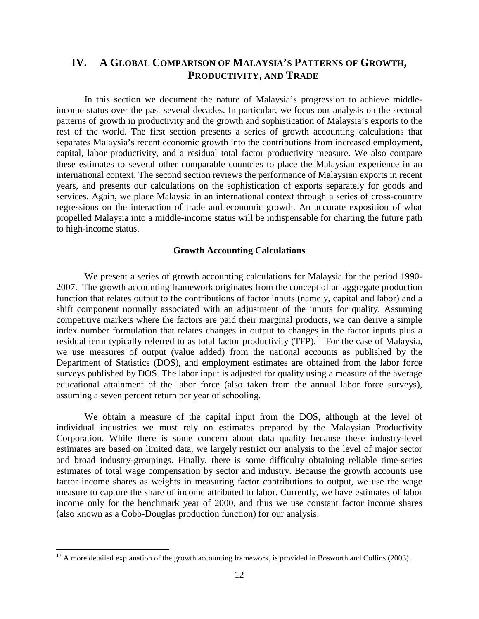## **IV. A GLOBAL COMPARISON OF MALAYSIA'S PATTERNS OF GROWTH, PRODUCTIVITY, AND TRADE**

In this section we document the nature of Malaysia's progression to achieve middleincome status over the past several decades. In particular, we focus our analysis on the sectoral patterns of growth in productivity and the growth and sophistication of Malaysia's exports to the rest of the world. The first section presents a series of growth accounting calculations that separates Malaysia's recent economic growth into the contributions from increased employment, capital, labor productivity, and a residual total factor productivity measure. We also compare these estimates to several other comparable countries to place the Malaysian experience in an international context. The second section reviews the performance of Malaysian exports in recent years, and presents our calculations on the sophistication of exports separately for goods and services. Again, we place Malaysia in an international context through a series of cross-country regressions on the interaction of trade and economic growth. An accurate exposition of what propelled Malaysia into a middle-income status will be indispensable for charting the future path to high-income status.

#### **Growth Accounting Calculations**

We present a series of growth accounting calculations for Malaysia for the period 1990- 2007. The growth accounting framework originates from the concept of an aggregate production function that relates output to the contributions of factor inputs (namely, capital and labor) and a shift component normally associated with an adjustment of the inputs for quality. Assuming competitive markets where the factors are paid their marginal products, we can derive a simple index number formulation that relates changes in output to changes in the factor inputs plus a residual term typically referred to as total factor productivity (TFP).<sup>[13](#page-13-0)</sup> For the case of Malaysia, we use measures of output (value added) from the national accounts as published by the Department of Statistics (DOS), and employment estimates are obtained from the labor force surveys published by DOS. The labor input is adjusted for quality using a measure of the average educational attainment of the labor force (also taken from the annual labor force surveys), assuming a seven percent return per year of schooling.

We obtain a measure of the capital input from the DOS, although at the level of individual industries we must rely on estimates prepared by the Malaysian Productivity Corporation. While there is some concern about data quality because these industry-level estimates are based on limited data, we largely restrict our analysis to the level of major sector and broad industry-groupings. Finally, there is some difficulty obtaining reliable time-series estimates of total wage compensation by sector and industry. Because the growth accounts use factor income shares as weights in measuring factor contributions to output, we use the wage measure to capture the share of income attributed to labor. Currently, we have estimates of labor income only for the benchmark year of 2000, and thus we use constant factor income shares (also known as a Cobb-Douglas production function) for our analysis.

l

<span id="page-13-0"></span><sup>&</sup>lt;sup>13</sup> A more detailed explanation of the growth accounting framework, is provided in Bosworth and Collins (2003).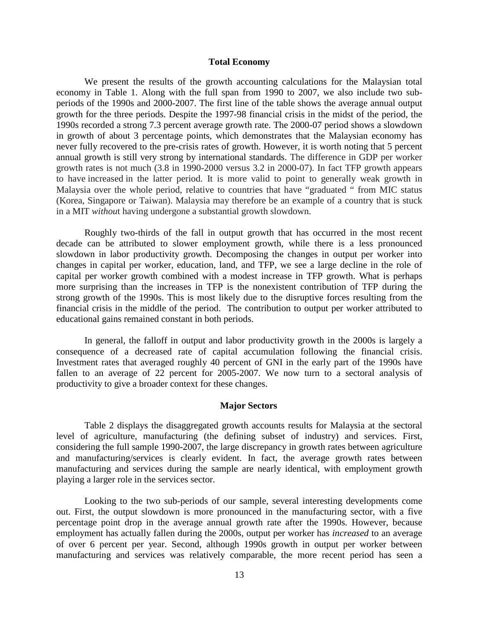#### **Total Economy**

We present the results of the growth accounting calculations for the Malaysian total economy in Table 1. Along with the full span from 1990 to 2007, we also include two subperiods of the 1990s and 2000-2007. The first line of the table shows the average annual output growth for the three periods. Despite the 1997-98 financial crisis in the midst of the period, the 1990s recorded a strong 7.3 percent average growth rate. The 2000-07 period shows a slowdown in growth of about 3 percentage points, which demonstrates that the Malaysian economy has never fully recovered to the pre-crisis rates of growth. However, it is worth noting that 5 percent annual growth is still very strong by international standards. The difference in GDP per worker growth rates is not much (3.8 in 1990-2000 versus 3.2 in 2000-07). In fact TFP growth appears to have increased in the latter period. It is more valid to point to generally weak growth in Malaysia over the whole period, relative to countries that have "graduated " from MIC status (Korea, Singapore or Taiwan). Malaysia may therefore be an example of a country that is stuck in a MIT *withou*t having undergone a substantial growth slowdown.

Roughly two-thirds of the fall in output growth that has occurred in the most recent decade can be attributed to slower employment growth, while there is a less pronounced slowdown in labor productivity growth. Decomposing the changes in output per worker into changes in capital per worker, education, land, and TFP, we see a large decline in the role of capital per worker growth combined with a modest increase in TFP growth. What is perhaps more surprising than the increases in TFP is the nonexistent contribution of TFP during the strong growth of the 1990s. This is most likely due to the disruptive forces resulting from the financial crisis in the middle of the period. The contribution to output per worker attributed to educational gains remained constant in both periods.

In general, the falloff in output and labor productivity growth in the 2000s is largely a consequence of a decreased rate of capital accumulation following the financial crisis. Investment rates that averaged roughly 40 percent of GNI in the early part of the 1990s have fallen to an average of 22 percent for 2005-2007. We now turn to a sectoral analysis of productivity to give a broader context for these changes.

#### **Major Sectors**

Table 2 displays the disaggregated growth accounts results for Malaysia at the sectoral level of agriculture, manufacturing (the defining subset of industry) and services. First, considering the full sample 1990-2007, the large discrepancy in growth rates between agriculture and manufacturing/services is clearly evident. In fact, the average growth rates between manufacturing and services during the sample are nearly identical, with employment growth playing a larger role in the services sector.

Looking to the two sub-periods of our sample, several interesting developments come out. First, the output slowdown is more pronounced in the manufacturing sector, with a five percentage point drop in the average annual growth rate after the 1990s. However, because employment has actually fallen during the 2000s, output per worker has *increased* to an average of over 6 percent per year. Second, although 1990s growth in output per worker between manufacturing and services was relatively comparable, the more recent period has seen a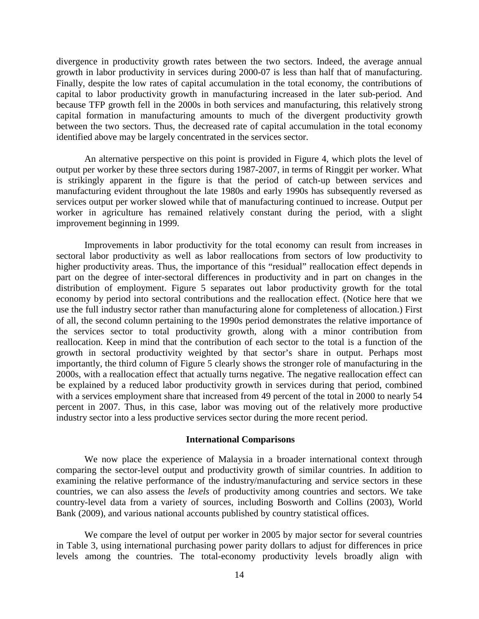divergence in productivity growth rates between the two sectors. Indeed, the average annual growth in labor productivity in services during 2000-07 is less than half that of manufacturing. Finally, despite the low rates of capital accumulation in the total economy, the contributions of capital to labor productivity growth in manufacturing increased in the later sub-period. And because TFP growth fell in the 2000s in both services and manufacturing, this relatively strong capital formation in manufacturing amounts to much of the divergent productivity growth between the two sectors. Thus, the decreased rate of capital accumulation in the total economy identified above may be largely concentrated in the services sector.

An alternative perspective on this point is provided in Figure 4, which plots the level of output per worker by these three sectors during 1987-2007, in terms of Ringgit per worker. What is strikingly apparent in the figure is that the period of catch-up between services and manufacturing evident throughout the late 1980s and early 1990s has subsequently reversed as services output per worker slowed while that of manufacturing continued to increase. Output per worker in agriculture has remained relatively constant during the period, with a slight improvement beginning in 1999.

Improvements in labor productivity for the total economy can result from increases in sectoral labor productivity as well as labor reallocations from sectors of low productivity to higher productivity areas. Thus, the importance of this "residual" reallocation effect depends in part on the degree of inter-sectoral differences in productivity and in part on changes in the distribution of employment. Figure 5 separates out labor productivity growth for the total economy by period into sectoral contributions and the reallocation effect. (Notice here that we use the full industry sector rather than manufacturing alone for completeness of allocation.) First of all, the second column pertaining to the 1990s period demonstrates the relative importance of the services sector to total productivity growth, along with a minor contribution from reallocation. Keep in mind that the contribution of each sector to the total is a function of the growth in sectoral productivity weighted by that sector's share in output. Perhaps most importantly, the third column of Figure 5 clearly shows the stronger role of manufacturing in the 2000s, with a reallocation effect that actually turns negative. The negative reallocation effect can be explained by a reduced labor productivity growth in services during that period, combined with a services employment share that increased from 49 percent of the total in 2000 to nearly 54 percent in 2007. Thus, in this case, labor was moving out of the relatively more productive industry sector into a less productive services sector during the more recent period.

#### **International Comparisons**

We now place the experience of Malaysia in a broader international context through comparing the sector-level output and productivity growth of similar countries. In addition to examining the relative performance of the industry/manufacturing and service sectors in these countries, we can also assess the *levels* of productivity among countries and sectors. We take country-level data from a variety of sources, including Bosworth and Collins (2003), World Bank (2009), and various national accounts published by country statistical offices.

We compare the level of output per worker in 2005 by major sector for several countries in Table 3, using international purchasing power parity dollars to adjust for differences in price levels among the countries. The total-economy productivity levels broadly align with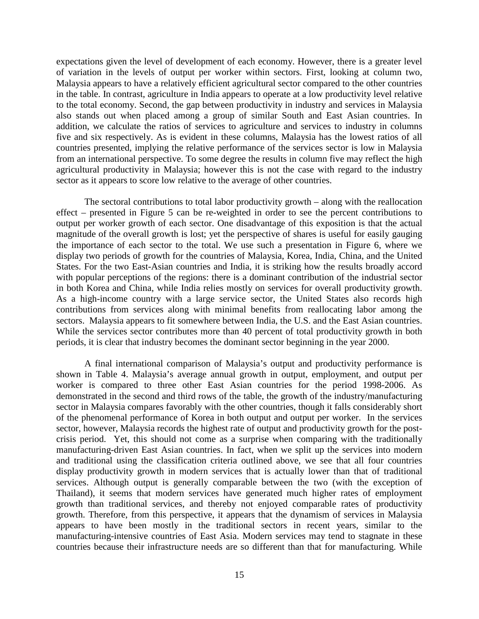expectations given the level of development of each economy. However, there is a greater level of variation in the levels of output per worker within sectors. First, looking at column two, Malaysia appears to have a relatively efficient agricultural sector compared to the other countries in the table. In contrast, agriculture in India appears to operate at a low productivity level relative to the total economy. Second, the gap between productivity in industry and services in Malaysia also stands out when placed among a group of similar South and East Asian countries. In addition, we calculate the ratios of services to agriculture and services to industry in columns five and six respectively. As is evident in these columns, Malaysia has the lowest ratios of all countries presented, implying the relative performance of the services sector is low in Malaysia from an international perspective. To some degree the results in column five may reflect the high agricultural productivity in Malaysia; however this is not the case with regard to the industry sector as it appears to score low relative to the average of other countries.

The sectoral contributions to total labor productivity growth – along with the reallocation effect – presented in Figure 5 can be re-weighted in order to see the percent contributions to output per worker growth of each sector. One disadvantage of this exposition is that the actual magnitude of the overall growth is lost; yet the perspective of shares is useful for easily gauging the importance of each sector to the total. We use such a presentation in Figure 6, where we display two periods of growth for the countries of Malaysia, Korea, India, China, and the United States. For the two East-Asian countries and India, it is striking how the results broadly accord with popular perceptions of the regions: there is a dominant contribution of the industrial sector in both Korea and China, while India relies mostly on services for overall productivity growth. As a high-income country with a large service sector, the United States also records high contributions from services along with minimal benefits from reallocating labor among the sectors. Malaysia appears to fit somewhere between India, the U.S. and the East Asian countries. While the services sector contributes more than 40 percent of total productivity growth in both periods, it is clear that industry becomes the dominant sector beginning in the year 2000.

A final international comparison of Malaysia's output and productivity performance is shown in Table 4. Malaysia's average annual growth in output, employment, and output per worker is compared to three other East Asian countries for the period 1998-2006. As demonstrated in the second and third rows of the table, the growth of the industry/manufacturing sector in Malaysia compares favorably with the other countries, though it falls considerably short of the phenomenal performance of Korea in both output and output per worker. In the services sector, however, Malaysia records the highest rate of output and productivity growth for the postcrisis period. Yet, this should not come as a surprise when comparing with the traditionally manufacturing-driven East Asian countries. In fact, when we split up the services into modern and traditional using the classification criteria outlined above, we see that all four countries display productivity growth in modern services that is actually lower than that of traditional services. Although output is generally comparable between the two (with the exception of Thailand), it seems that modern services have generated much higher rates of employment growth than traditional services, and thereby not enjoyed comparable rates of productivity growth. Therefore, from this perspective, it appears that the dynamism of services in Malaysia appears to have been mostly in the traditional sectors in recent years, similar to the manufacturing-intensive countries of East Asia. Modern services may tend to stagnate in these countries because their infrastructure needs are so different than that for manufacturing. While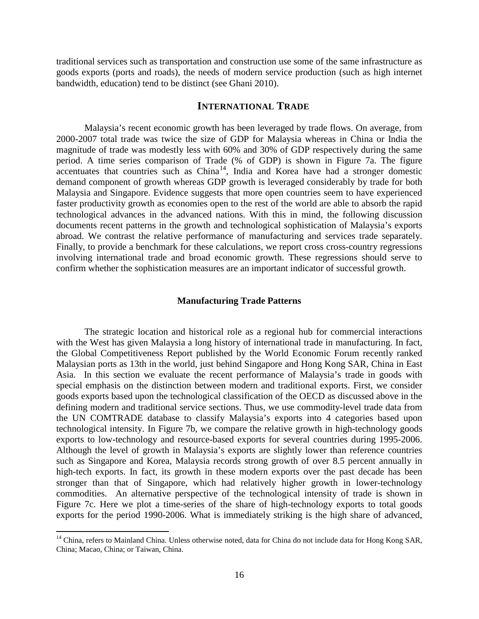traditional services such as transportation and construction use some of the same infrastructure as goods exports (ports and roads), the needs of modern service production (such as high internet bandwidth, education) tend to be distinct (see Ghani 2010).

#### **INTERNATIONAL TRADE**

Malaysia's recent economic growth has been leveraged by trade flows. On average, from 2000-2007 total trade was twice the size of GDP for Malaysia whereas in China or India the magnitude of trade was modestly less with 60% and 30% of GDP respectively during the same period. A time series comparison of Trade (% of GDP) is shown in Figure 7a. The figure  $\alpha$  accentuates that countries such as China<sup>[14](#page-17-0)</sup>, India and Korea have had a stronger domestic demand component of growth whereas GDP growth is leveraged considerably by trade for both Malaysia and Singapore. Evidence suggests that more open countries seem to have experienced faster productivity growth as economies open to the rest of the world are able to absorb the rapid technological advances in the advanced nations. With this in mind, the following discussion documents recent patterns in the growth and technological sophistication of Malaysia's exports abroad. We contrast the relative performance of manufacturing and services trade separately. Finally, to provide a benchmark for these calculations, we report cross cross-country regressions involving international trade and broad economic growth. These regressions should serve to confirm whether the sophistication measures are an important indicator of successful growth.

#### **Manufacturing Trade Patterns**

The strategic location and historical role as a regional hub for commercial interactions with the West has given Malaysia a long history of international trade in manufacturing. In fact, the Global Competitiveness Report published by the World Economic Forum recently ranked Malaysian ports as 13th in the world, just behind Singapore and Hong Kong SAR, China in East Asia. In this section we evaluate the recent performance of Malaysia's trade in goods with special emphasis on the distinction between modern and traditional exports. First, we consider goods exports based upon the technological classification of the OECD as discussed above in the defining modern and traditional service sections. Thus, we use commodity-level trade data from the UN COMTRADE database to classify Malaysia's exports into 4 categories based upon technological intensity. In Figure 7b, we compare the relative growth in high-technology goods exports to low-technology and resource-based exports for several countries during 1995-2006. Although the level of growth in Malaysia's exports are slightly lower than reference countries such as Singapore and Korea, Malaysia records strong growth of over 8.5 percent annually in high-tech exports. In fact, its growth in these modern exports over the past decade has been stronger than that of Singapore, which had relatively higher growth in lower-technology commodities. An alternative perspective of the technological intensity of trade is shown in Figure 7c. Here we plot a time-series of the share of high-technology exports to total goods exports for the period 1990-2006. What is immediately striking is the high share of advanced,

 $\overline{\phantom{a}}$ 

<span id="page-17-0"></span><sup>&</sup>lt;sup>14</sup> China, refers to Mainland China. Unless otherwise noted, data for China do not include data for Hong Kong SAR, China; Macao, China; or Taiwan, China.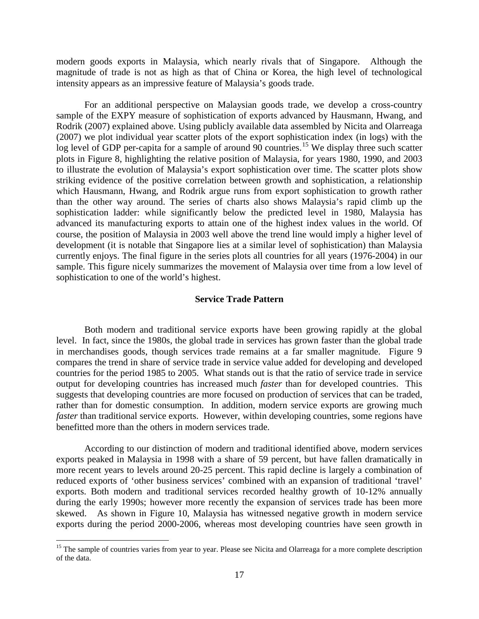modern goods exports in Malaysia, which nearly rivals that of Singapore. Although the magnitude of trade is not as high as that of China or Korea, the high level of technological intensity appears as an impressive feature of Malaysia's goods trade.

For an additional perspective on Malaysian goods trade, we develop a cross-country sample of the EXPY measure of sophistication of exports advanced by Hausmann, Hwang, and Rodrik (2007) explained above. Using publicly available data assembled by Nicita and Olarreaga (2007) we plot individual year scatter plots of the export sophistication index (in logs) with the log level of GDP per-capita for a sample of around 90 countries.<sup>[15](#page-18-0)</sup> We display three such scatter plots in Figure 8, highlighting the relative position of Malaysia, for years 1980, 1990, and 2003 to illustrate the evolution of Malaysia's export sophistication over time. The scatter plots show striking evidence of the positive correlation between growth and sophistication, a relationship which Hausmann, Hwang, and Rodrik argue runs from export sophistication to growth rather than the other way around. The series of charts also shows Malaysia's rapid climb up the sophistication ladder: while significantly below the predicted level in 1980, Malaysia has advanced its manufacturing exports to attain one of the highest index values in the world. Of course, the position of Malaysia in 2003 well above the trend line would imply a higher level of development (it is notable that Singapore lies at a similar level of sophistication) than Malaysia currently enjoys. The final figure in the series plots all countries for all years (1976-2004) in our sample. This figure nicely summarizes the movement of Malaysia over time from a low level of sophistication to one of the world's highest.

#### **Service Trade Pattern**

Both modern and traditional service exports have been growing rapidly at the global level. In fact, since the 1980s, the global trade in services has grown faster than the global trade in merchandises goods, though services trade remains at a far smaller magnitude. Figure 9 compares the trend in share of service trade in service value added for developing and developed countries for the period 1985 to 2005. What stands out is that the ratio of service trade in service output for developing countries has increased much *faster* than for developed countries. This suggests that developing countries are more focused on production of services that can be traded, rather than for domestic consumption. In addition, modern service exports are growing much *faster* than traditional service exports. However, within developing countries, some regions have benefitted more than the others in modern services trade.

According to our distinction of modern and traditional identified above, modern services exports peaked in Malaysia in 1998 with a share of 59 percent, but have fallen dramatically in more recent years to levels around 20-25 percent. This rapid decline is largely a combination of reduced exports of 'other business services' combined with an expansion of traditional 'travel' exports. Both modern and traditional services recorded healthy growth of 10-12% annually during the early 1990s; however more recently the expansion of services trade has been more skewed. As shown in Figure 10, Malaysia has witnessed negative growth in modern service exports during the period 2000-2006, whereas most developing countries have seen growth in

l

<span id="page-18-0"></span><sup>&</sup>lt;sup>15</sup> The sample of countries varies from year to year. Please see Nicita and Olarreaga for a more complete description of the data.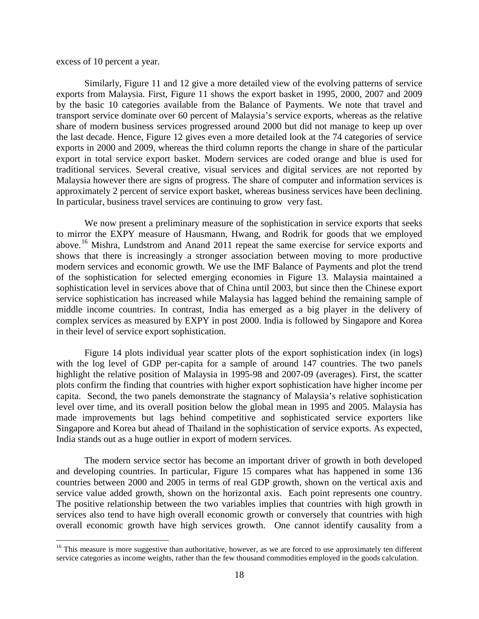excess of 10 percent a year.

l

 Similarly, Figure 11 and 12 give a more detailed view of the evolving patterns of service exports from Malaysia. First, Figure 11 shows the export basket in 1995, 2000, 2007 and 2009 by the basic 10 categories available from the Balance of Payments. We note that travel and transport service dominate over 60 percent of Malaysia's service exports, whereas as the relative share of modern business services progressed around 2000 but did not manage to keep up over the last decade. Hence, Figure 12 gives even a more detailed look at the 74 categories of service exports in 2000 and 2009, whereas the third column reports the change in share of the particular export in total service export basket. Modern services are coded orange and blue is used for traditional services. Several creative, visual services and digital services are not reported by Malaysia however there are signs of progress. The share of computer and information services is approximately 2 percent of service export basket, whereas business services have been declining. In particular, business travel services are continuing to grow very fast.

We now present a preliminary measure of the sophistication in service exports that seeks to mirror the EXPY measure of Hausmann, Hwang, and Rodrik for goods that we employed above.[16](#page-19-0) Mishra, Lundstrom and Anand 2011 repeat the same exercise for service exports and shows that there is increasingly a stronger association between moving to more productive modern services and economic growth. We use the IMF Balance of Payments and plot the trend of the sophistication for selected emerging economies in Figure 13. Malaysia maintained a sophistication level in services above that of China until 2003, but since then the Chinese export service sophistication has increased while Malaysia has lagged behind the remaining sample of middle income countries. In contrast, India has emerged as a big player in the delivery of complex services as measured by EXPY in post 2000. India is followed by Singapore and Korea in their level of service export sophistication.

Figure 14 plots individual year scatter plots of the export sophistication index (in logs) with the log level of GDP per-capita for a sample of around 147 countries. The two panels highlight the relative position of Malaysia in 1995-98 and 2007-09 (averages). First, the scatter plots confirm the finding that countries with higher export sophistication have higher income per capita. Second, the two panels demonstrate the stagnancy of Malaysia's relative sophistication level over time, and its overall position below the global mean in 1995 and 2005. Malaysia has made improvements but lags behind competitive and sophisticated service exporters like Singapore and Korea but ahead of Thailand in the sophistication of service exports. As expected, India stands out as a huge outlier in export of modern services.

The modern service sector has become an important driver of growth in both developed and developing countries. In particular, Figure 15 compares what has happened in some 136 countries between 2000 and 2005 in terms of real GDP growth, shown on the vertical axis and service value added growth, shown on the horizontal axis. Each point represents one country. The positive relationship between the two variables implies that countries with high growth in services also tend to have high overall economic growth or conversely that countries with high overall economic growth have high services growth. One cannot identify causality from a

<span id="page-19-0"></span><sup>&</sup>lt;sup>16</sup> This measure is more suggestive than authoritative, however, as we are forced to use approximately ten different service categories as income weights, rather than the few thousand commodities employed in the goods calculation.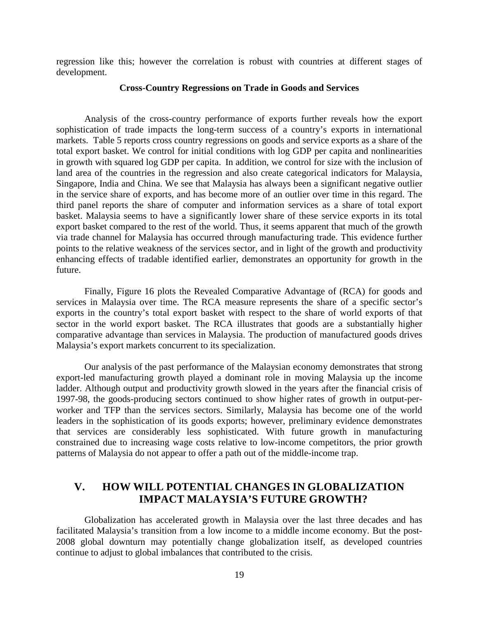regression like this; however the correlation is robust with countries at different stages of development.

#### **Cross-Country Regressions on Trade in Goods and Services**

Analysis of the cross-country performance of exports further reveals how the export sophistication of trade impacts the long-term success of a country's exports in international markets. Table 5 reports cross country regressions on goods and service exports as a share of the total export basket. We control for initial conditions with log GDP per capita and nonlinearities in growth with squared log GDP per capita. In addition, we control for size with the inclusion of land area of the countries in the regression and also create categorical indicators for Malaysia, Singapore, India and China. We see that Malaysia has always been a significant negative outlier in the service share of exports, and has become more of an outlier over time in this regard. The third panel reports the share of computer and information services as a share of total export basket. Malaysia seems to have a significantly lower share of these service exports in its total export basket compared to the rest of the world. Thus, it seems apparent that much of the growth via trade channel for Malaysia has occurred through manufacturing trade. This evidence further points to the relative weakness of the services sector, and in light of the growth and productivity enhancing effects of tradable identified earlier, demonstrates an opportunity for growth in the future.

Finally, Figure 16 plots the Revealed Comparative Advantage of (RCA) for goods and services in Malaysia over time. The RCA measure represents the share of a specific sector's exports in the country's total export basket with respect to the share of world exports of that sector in the world export basket. The RCA illustrates that goods are a substantially higher comparative advantage than services in Malaysia. The production of manufactured goods drives Malaysia's export markets concurrent to its specialization.

Our analysis of the past performance of the Malaysian economy demonstrates that strong export-led manufacturing growth played a dominant role in moving Malaysia up the income ladder. Although output and productivity growth slowed in the years after the financial crisis of 1997-98, the goods-producing sectors continued to show higher rates of growth in output-perworker and TFP than the services sectors. Similarly, Malaysia has become one of the world leaders in the sophistication of its goods exports; however, preliminary evidence demonstrates that services are considerably less sophisticated. With future growth in manufacturing constrained due to increasing wage costs relative to low-income competitors, the prior growth patterns of Malaysia do not appear to offer a path out of the middle-income trap.

## **V. HOW WILL POTENTIAL CHANGES IN GLOBALIZATION IMPACT MALAYSIA'S FUTURE GROWTH?**

Globalization has accelerated growth in Malaysia over the last three decades and has facilitated Malaysia's transition from a low income to a middle income economy. But the post-2008 global downturn may potentially change globalization itself, as developed countries continue to adjust to global imbalances that contributed to the crisis.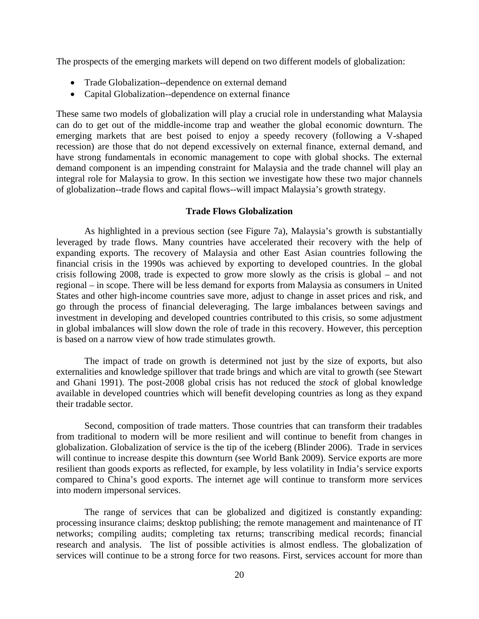The prospects of the emerging markets will depend on two different models of globalization:

- Trade Globalization--dependence on external demand
- Capital Globalization--dependence on external finance

These same two models of globalization will play a crucial role in understanding what Malaysia can do to get out of the middle-income trap and weather the global economic downturn. The emerging markets that are best poised to enjoy a speedy recovery (following a V-shaped recession) are those that do not depend excessively on external finance, external demand, and have strong fundamentals in economic management to cope with global shocks. The external demand component is an impending constraint for Malaysia and the trade channel will play an integral role for Malaysia to grow. In this section we investigate how these two major channels of globalization--trade flows and capital flows--will impact Malaysia's growth strategy.

#### **Trade Flows Globalization**

 As highlighted in a previous section (see Figure 7a), Malaysia's growth is substantially leveraged by trade flows. Many countries have accelerated their recovery with the help of expanding exports. The recovery of Malaysia and other East Asian countries following the financial crisis in the 1990s was achieved by exporting to developed countries. In the global crisis following 2008, trade is expected to grow more slowly as the crisis is global – and not regional – in scope. There will be less demand for exports from Malaysia as consumers in United States and other high-income countries save more, adjust to change in asset prices and risk, and go through the process of financial deleveraging. The large imbalances between savings and investment in developing and developed countries contributed to this crisis, so some adjustment in global imbalances will slow down the role of trade in this recovery. However, this perception is based on a narrow view of how trade stimulates growth.

 The impact of trade on growth is determined not just by the size of exports, but also externalities and knowledge spillover that trade brings and which are vital to growth (see Stewart and Ghani 1991). The post-2008 global crisis has not reduced the *stock* of global knowledge available in developed countries which will benefit developing countries as long as they expand their tradable sector.

 Second, composition of trade matters. Those countries that can transform their tradables from traditional to modern will be more resilient and will continue to benefit from changes in globalization. Globalization of service is the tip of the iceberg (Blinder 2006). Trade in services will continue to increase despite this downturn (see World Bank 2009). Service exports are more resilient than goods exports as reflected, for example, by less volatility in India's service exports compared to China's good exports. The internet age will continue to transform more services into modern impersonal services.

The range of services that can be globalized and digitized is constantly expanding: processing insurance claims; desktop publishing; the remote management and maintenance of IT networks; compiling audits; completing tax returns; transcribing medical records; financial research and analysis. The list of possible activities is almost endless. The globalization of services will continue to be a strong force for two reasons. First, services account for more than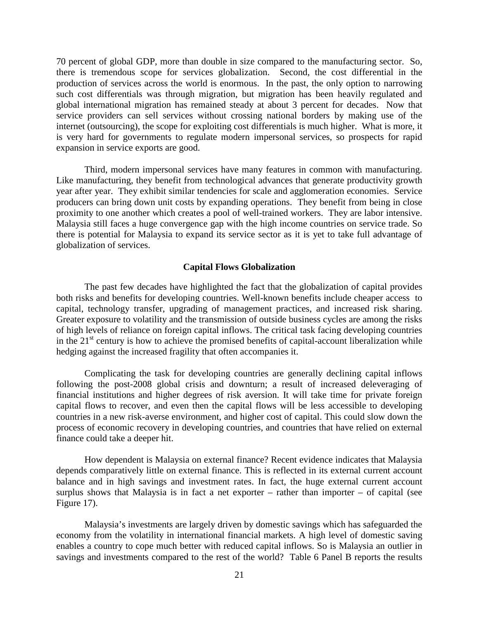70 percent of global GDP, more than double in size compared to the manufacturing sector. So, there is tremendous scope for services globalization. Second, the cost differential in the production of services across the world is enormous. In the past, the only option to narrowing such cost differentials was through migration, but migration has been heavily regulated and global international migration has remained steady at about 3 percent for decades. Now that service providers can sell services without crossing national borders by making use of the internet (outsourcing), the scope for exploiting cost differentials is much higher. What is more, it is very hard for governments to regulate modern impersonal services, so prospects for rapid expansion in service exports are good.

 Third, modern impersonal services have many features in common with manufacturing. Like manufacturing, they benefit from technological advances that generate productivity growth year after year. They exhibit similar tendencies for scale and agglomeration economies. Service producers can bring down unit costs by expanding operations. They benefit from being in close proximity to one another which creates a pool of well-trained workers. They are labor intensive. Malaysia still faces a huge convergence gap with the high income countries on service trade. So there is potential for Malaysia to expand its service sector as it is yet to take full advantage of globalization of services.

#### **Capital Flows Globalization**

 The past few decades have highlighted the fact that the globalization of capital provides both risks and benefits for developing countries. Well-known benefits include cheaper access to capital, technology transfer, upgrading of management practices, and increased risk sharing. Greater exposure to volatility and the transmission of outside business cycles are among the risks of high levels of reliance on foreign capital inflows. The critical task facing developing countries in the  $21<sup>st</sup>$  century is how to achieve the promised benefits of capital-account liberalization while hedging against the increased fragility that often accompanies it.

Complicating the task for developing countries are generally declining capital inflows following the post-2008 global crisis and downturn; a result of increased deleveraging of financial institutions and higher degrees of risk aversion. It will take time for private foreign capital flows to recover, and even then the capital flows will be less accessible to developing countries in a new risk-averse environment, and higher cost of capital. This could slow down the process of economic recovery in developing countries, and countries that have relied on external finance could take a deeper hit.

How dependent is Malaysia on external finance? Recent evidence indicates that Malaysia depends comparatively little on external finance. This is reflected in its external current account balance and in high savings and investment rates. In fact, the huge external current account surplus shows that Malaysia is in fact a net exporter – rather than importer – of capital (see Figure 17).

Malaysia's investments are largely driven by domestic savings which has safeguarded the economy from the volatility in international financial markets. A high level of domestic saving enables a country to cope much better with reduced capital inflows. So is Malaysia an outlier in savings and investments compared to the rest of the world? Table 6 Panel B reports the results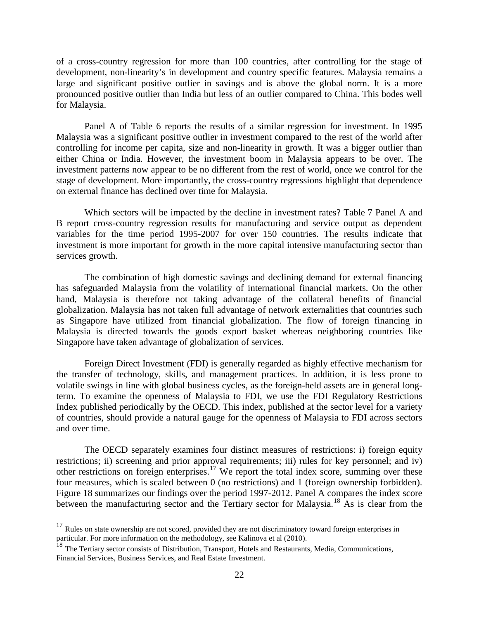of a cross-country regression for more than 100 countries, after controlling for the stage of development, non-linearity's in development and country specific features. Malaysia remains a large and significant positive outlier in savings and is above the global norm. It is a more pronounced positive outlier than India but less of an outlier compared to China. This bodes well for Malaysia.

Panel A of Table 6 reports the results of a similar regression for investment. In 1995 Malaysia was a significant positive outlier in investment compared to the rest of the world after controlling for income per capita, size and non-linearity in growth. It was a bigger outlier than either China or India. However, the investment boom in Malaysia appears to be over. The investment patterns now appear to be no different from the rest of world, once we control for the stage of development. More importantly, the cross-country regressions highlight that dependence on external finance has declined over time for Malaysia.

Which sectors will be impacted by the decline in investment rates? Table 7 Panel A and B report cross-country regression results for manufacturing and service output as dependent variables for the time period 1995-2007 for over 150 countries. The results indicate that investment is more important for growth in the more capital intensive manufacturing sector than services growth.

 The combination of high domestic savings and declining demand for external financing has safeguarded Malaysia from the volatility of international financial markets. On the other hand, Malaysia is therefore not taking advantage of the collateral benefits of financial globalization. Malaysia has not taken full advantage of network externalities that countries such as Singapore have utilized from financial globalization. The flow of foreign financing in Malaysia is directed towards the goods export basket whereas neighboring countries like Singapore have taken advantage of globalization of services.

Foreign Direct Investment (FDI) is generally regarded as highly effective mechanism for the transfer of technology, skills, and management practices. In addition, it is less prone to volatile swings in line with global business cycles, as the foreign-held assets are in general longterm. To examine the openness of Malaysia to FDI, we use the FDI Regulatory Restrictions Index published periodically by the OECD. This index, published at the sector level for a variety of countries, should provide a natural gauge for the openness of Malaysia to FDI across sectors and over time.

The OECD separately examines four distinct measures of restrictions: i) foreign equity restrictions; ii) screening and prior approval requirements; iii) rules for key personnel; and iv) other restrictions on foreign enterprises.<sup>[17](#page-23-0)</sup> We report the total index score, summing over these four measures, which is scaled between 0 (no restrictions) and 1 (foreign ownership forbidden). Figure 18 summarizes our findings over the period 1997-2012. Panel A compares the index score between the manufacturing sector and the Tertiary sector for Malaysia.<sup>[18](#page-23-1)</sup> As is clear from the

 $\overline{\phantom{a}}$ 

<span id="page-23-0"></span> $17$  Rules on state ownership are not scored, provided they are not discriminatory toward foreign enterprises in particular. For more information on the methodology, see Kalinova et al (2010).

<span id="page-23-1"></span><sup>&</sup>lt;sup>18</sup> The Tertiary sector consists of Distribution, Transport, Hotels and Restaurants, Media, Communications, Financial Services, Business Services, and Real Estate Investment.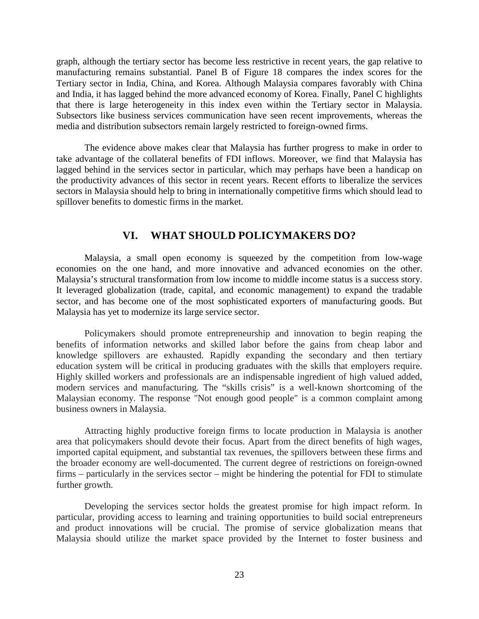graph, although the tertiary sector has become less restrictive in recent years, the gap relative to manufacturing remains substantial. Panel B of Figure 18 compares the index scores for the Tertiary sector in India, China, and Korea. Although Malaysia compares favorably with China and India, it has lagged behind the more advanced economy of Korea. Finally, Panel C highlights that there is large heterogeneity in this index even within the Tertiary sector in Malaysia. Subsectors like business services communication have seen recent improvements, whereas the media and distribution subsectors remain largely restricted to foreign-owned firms.

The evidence above makes clear that Malaysia has further progress to make in order to take advantage of the collateral benefits of FDI inflows. Moreover, we find that Malaysia has lagged behind in the services sector in particular, which may perhaps have been a handicap on the productivity advances of this sector in recent years. Recent efforts to liberalize the services sectors in Malaysia should help to bring in internationally competitive firms which should lead to spillover benefits to domestic firms in the market.

## **VI. WHAT SHOULD POLICYMAKERS DO?**

 Malaysia, a small open economy is squeezed by the competition from low-wage economies on the one hand, and more innovative and advanced economies on the other. Malaysia's structural transformation from low income to middle income status is a success story. It leveraged globalization (trade, capital, and economic management) to expand the tradable sector, and has become one of the most sophisticated exporters of manufacturing goods. But Malaysia has yet to modernize its large service sector.

 Policymakers should promote entrepreneurship and innovation to begin reaping the benefits of information networks and skilled labor before the gains from cheap labor and knowledge spillovers are exhausted. Rapidly expanding the secondary and then tertiary education system will be critical in producing graduates with the skills that employers require. Highly skilled workers and professionals are an indispensable ingredient of high valued added, modern services and manufacturing. The "skills crisis" is a well-known shortcoming of the Malaysian economy. The response "Not enough good people" is a common complaint among business owners in Malaysia.

Attracting highly productive foreign firms to locate production in Malaysia is another area that policymakers should devote their focus. Apart from the direct benefits of high wages, imported capital equipment, and substantial tax revenues, the spillovers between these firms and the broader economy are well-documented. The current degree of restrictions on foreign-owned firms – particularly in the services sector – might be hindering the potential for FDI to stimulate further growth.

 Developing the services sector holds the greatest promise for high impact reform. In particular, providing access to learning and training opportunities to build social entrepreneurs and product innovations will be crucial. The promise of service globalization means that Malaysia should utilize the market space provided by the Internet to foster business and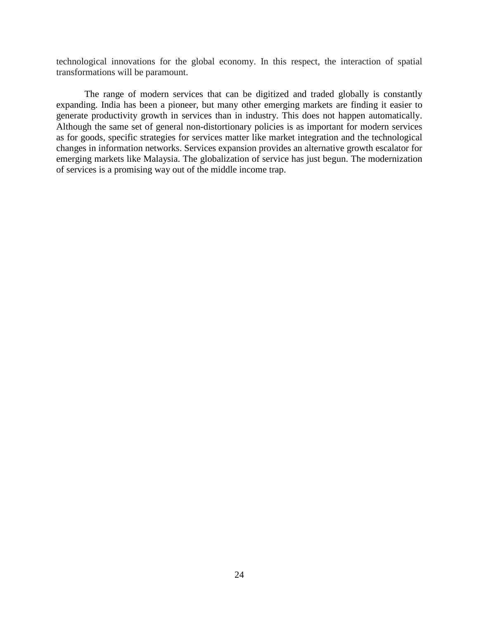technological innovations for the global economy. In this respect, the interaction of spatial transformations will be paramount.

 The range of modern services that can be digitized and traded globally is constantly expanding. India has been a pioneer, but many other emerging markets are finding it easier to generate productivity growth in services than in industry. This does not happen automatically. Although the same set of general non-distortionary policies is as important for modern services as for goods, specific strategies for services matter like market integration and the technological changes in information networks. Services expansion provides an alternative growth escalator for emerging markets like Malaysia. The globalization of service has just begun. The modernization of services is a promising way out of the middle income trap.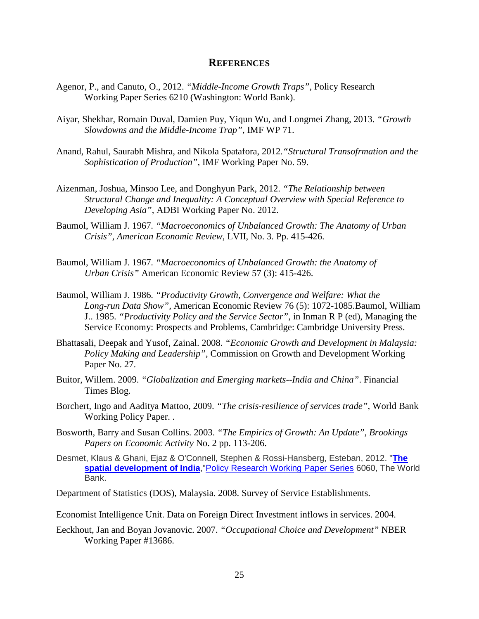#### **REFERENCES**

- Agenor, P., and Canuto, O., 2012. *"Middle-Income Growth Traps",* Policy Research Working Paper Series 6210 (Washington: World Bank).
- Aiyar, Shekhar, Romain Duval, Damien Puy, Yiqun Wu, and Longmei Zhang, 2013. *"Growth Slowdowns and the Middle-Income Trap"*, IMF WP 71.
- Anand, Rahul, Saurabh Mishra, and Nikola Spatafora, 2012*."Structural Transofrmation and the Sophistication of Production",* IMF Working Paper No. 59.
- Aizenman, Joshua, Minsoo Lee, and Donghyun Park, 2012. *"The Relationship between Structural Change and Inequality: A Conceptual Overview with Special Reference to Developing Asia"*, ADBI Working Paper No. 2012.
- Baumol, William J. 1967. *"Macroeconomics of Unbalanced Growth: The Anatomy of Urban Crisis", American Economic Review*, LVII, No. 3. Pp. 415-426.
- Baumol, William J. 1967. *"Macroeconomics of Unbalanced Growth: the Anatomy of Urban Crisis"* American Economic Review 57 (3): 415-426.
- Baumol, William J. 1986. *"Productivity Growth, Convergence and Welfare: What the Long-run Data Show",* American Economic Review 76 (5): 1072-1085.Baumol, William J.. 1985. *"Productivity Policy and the Service Sector"*, in Inman R P (ed), Managing the Service Economy: Prospects and Problems*,* Cambridge: Cambridge University Press.
- Bhattasali, Deepak and Yusof, Zainal. 2008. *"Economic Growth and Development in Malaysia: Policy Making and Leadership"*, Commission on Growth and Development Working Paper No. 27.
- Buitor, Willem. 2009. *"Globalization and Emerging markets--India and China"*. Financial Times Blog.
- Borchert, Ingo and Aaditya Mattoo, 2009. *"The crisis-resilience of services trade"*, World Bank Working Policy Paper. .
- Bosworth, Barry and Susan Collins. 2003. *"The Empirics of Growth: An Update"*, *Brookings Papers on Economic Activity* No. 2 pp. 113-206.
- Desmet, Klaus & Ghani, Ejaz & O'Connell, Stephen & Rossi-Hansberg, Esteban, 2012. "**[The](http://ideas.repec.org/p/wbk/wbrwps/6060.html)  [spatial development of India](http://ideas.repec.org/p/wbk/wbrwps/6060.html)**,["Policy Research Working Paper Series](http://ideas.repec.org/s/wbk/wbrwps.html) 6060, The World Bank.
- Department of Statistics (DOS), Malaysia. 2008. Survey of Service Establishments.
- Economist Intelligence Unit. Data on Foreign Direct Investment inflows in services. 2004.
- Eeckhout, Jan and Boyan Jovanovic. 2007. *"Occupational Choice and Development"* NBER Working Paper #13686.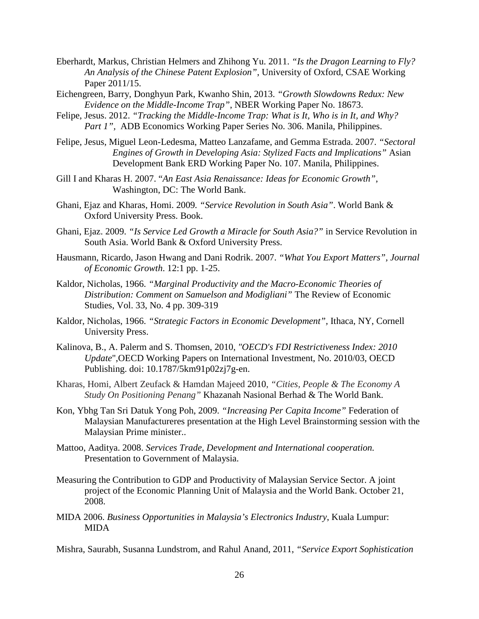- Eberhardt, Markus, Christian Helmers and Zhihong Yu. 2011. *["Is the Dragon Learning to Fly?](http://www.csae.ox.ac.uk/workingpapers/pdfs/csae-wps-2011-15.pdf)   [An Analysis of the Chinese Patent Explosion"](http://www.csae.ox.ac.uk/workingpapers/pdfs/csae-wps-2011-15.pdf)*, University of Oxford, CSAE Working Paper 2011/15.
- [Eichengreen,](http://www.nber.org/people/barry_eichengreen) Barry, [Donghyun Park,](http://www.nber.org/people/donghyun_park) [Kwanho Shin,](http://www.nber.org/people/kwanho_shin) 2013. *"Growth Slowdowns Redux: New Evidence on the Middle-Income Trap"*, NBER Working Paper No. 18673.
- Felipe, Jesus. 2012. *"Tracking the Middle-Income Trap: What is It, Who is in It, and Why? Part 1", ADB Economics Working Paper Series No. 306. Manila, Philippines.*
- Felipe, Jesus, Miguel Leon-Ledesma, Matteo Lanzafame, and Gemma Estrada. 2007. *"Sectoral Engines of Growth in Developing Asia: Stylized Facts and Implications"* Asian Development Bank ERD Working Paper No. 107. Manila, Philippines.
- Gill I and Kharas H. 2007. "*An East Asia Renaissance: Ideas for Economic Growth"*, Washington, DC: The World Bank.
- Ghani, Ejaz and Kharas, Homi. 2009*. "Service Revolution in South Asia"*. World Bank & Oxford University Press. Book.
- Ghani, Ejaz. 2009. *"Is Service Led Growth a Miracle for South Asia?"* in Service Revolution in South Asia. World Bank & Oxford University Press.
- Hausmann, Ricardo, Jason Hwang and Dani Rodrik. 2007. *"What You Export Matters", Journal of Economic Growth*. 12:1 pp. 1-25.
- Kaldor, Nicholas, 1966. *"Marginal Productivity and the Macro-Economic Theories of Distribution: Comment on Samuelson and Modigliani"* The Review of Economic Studies, Vol. 33, No. 4 pp. 309-319
- Kaldor, Nicholas, 1966. *"Strategic Factors in Economic Development",* Ithaca, NY, Cornell University Press.
- Kalinova, B., A. Palerm and S. Thomsen, 2010, *"OECD's FDI Restrictiveness Index: 2010 Update*",OECD Working Papers on International Investment, No. 2010/03, OECD Publishing. doi: [10.1787/5km91p02zj7g-en.](http://dx.doi.org/10.1787/5km91p02zj7g-en)
- Kharas, Homi, Albert Zeufack & Hamdan Majeed 2010, *"Cities, People & The Economy A Study On Positioning Penang"* Khazanah Nasional Berhad & The World Bank.
- Kon, Ybhg Tan Sri Datuk Yong Poh, 2009. *"Increasing Per Capita Income"* Federation of Malaysian Manufactureres presentation at the High Level Brainstorming session with the Malaysian Prime minister..
- Mattoo, Aaditya. 2008. *Services Trade, Development and International cooperation.* Presentation to Government of Malaysia.
- Measuring the Contribution to GDP and Productivity of Malaysian Service Sector. A joint project of the Economic Planning Unit of Malaysia and the World Bank. October 21, 2008.
- MIDA 2006. *Business Opportunities in Malaysia's Electronics Industry*, Kuala Lumpur: MIDA

Mishra, Saurabh, Susanna Lundstrom, and Rahul Anand, 2011, *"Service Export Sophistication*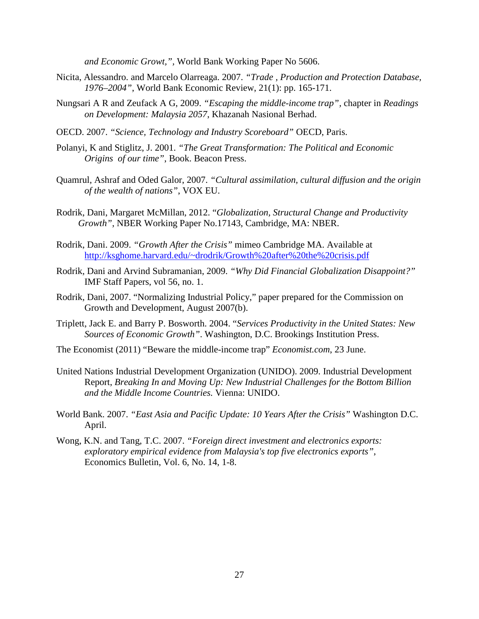*and Economic Growt,",* World Bank Working Paper No 5606.

- Nicita, Alessandro. and Marcelo Olarreaga. 2007. *"Trade , Production and Protection Database, 1976–2004"*, World Bank Economic Review, 21(1): pp. 165-171.
- Nungsari A R and Zeufack A G, 2009. *"Escaping the middle-income trap",* chapter in *Readings on Development: Malaysia 2057*, Khazanah Nasional Berhad.
- OECD. 2007. *"Science, Technology and Industry Scoreboard"* OECD, Paris.
- Polanyi, K and Stiglitz, J. 2001. *"The Great Transformation: The Political and Economic Origins of our time"*, Book. Beacon Press.
- Quamrul, Ashraf and Oded Galor, 2007. *"Cultural assimilation, cultural diffusion and the origin of the wealth of nations"*, VOX EU.
- Rodrik, Dani, Margaret McMillan, 2012. "*Globalization, Structural Change and Productivity Growth"*, NBER Working Paper No.17143, Cambridge, MA: NBER.
- Rodrik, Dani. 2009. *"Growth After the Crisis"* mimeo Cambridge MA. Available at <http://ksghome.harvard.edu/~drodrik/Growth%20after%20the%20crisis.pdf>
- Rodrik, Dani and Arvind Subramanian, 2009. *"Why Did Financial Globalization Disappoint?"* IMF Staff Papers, vol 56, no. 1.
- Rodrik, Dani, 2007. "Normalizing Industrial Policy," paper prepared for the Commission on Growth and Development, August 2007(b).
- Triplett, Jack E. and Barry P. Bosworth. 2004. "*Services Productivity in the United States: New Sources of Economic Growth"*. Washington, D.C. Brookings Institution Press.
- The Economist (2011) ["Beware the middle-income trap"](http://www.economist.com/node/18832106) *Economist.com*, 23 June.
- United Nations Industrial Development Organization (UNIDO). 2009. Industrial Development Report, *Breaking In and Moving Up: New Industrial Challenges for the Bottom Billion and the Middle Income Countries.* Vienna: UNIDO.
- World Bank. 2007. *"East Asia and Pacific Update: 10 Years After the Crisis"* Washington D.C. April.
- Wong, K.N. and Tang, T.C. 2007. *"Foreign direct investment and electronics exports: exploratory empirical evidence from Malaysia's top five electronics exports"*, Economics Bulletin, Vol. 6, No. 14, 1-8.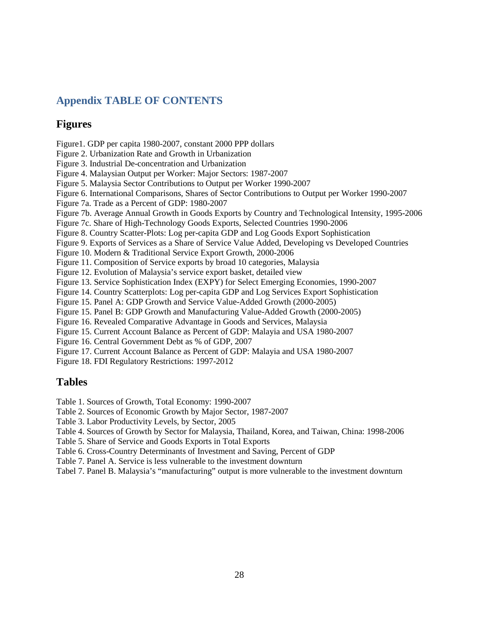# **Appendix TABLE OF CONTENTS**

## **Figures**

Figure1. GDP per capita 1980-2007, constant 2000 PPP dollars

Figure 2. Urbanization Rate and Growth in Urbanization

Figure 3. Industrial De-concentration and Urbanization

Figure 4. Malaysian Output per Worker: Major Sectors: 1987-2007

Figure 5. Malaysia Sector Contributions to Output per Worker 1990-2007

Figure 6. International Comparisons, Shares of Sector Contributions to Output per Worker 1990-2007

Figure 7a. Trade as a Percent of GDP: 1980-2007

Figure 7b. Average Annual Growth in Goods Exports by Country and Technological Intensity, 1995-2006

Figure 7c. Share of High-Technology Goods Exports, Selected Countries 1990-2006

Figure 8. Country Scatter-Plots: Log per-capita GDP and Log Goods Export Sophistication

Figure 9. Exports of Services as a Share of Service Value Added, Developing vs Developed Countries

Figure 10. Modern & Traditional Service Export Growth, 2000-2006

Figure 11. Composition of Service exports by broad 10 categories, Malaysia

Figure 12. Evolution of Malaysia's service export basket, detailed view

Figure 13. Service Sophistication Index (EXPY) for Select Emerging Economies, 1990-2007

Figure 14. Country Scatterplots: Log per-capita GDP and Log Services Export Sophistication

Figure 15. Panel A: GDP Growth and Service Value-Added Growth (2000-2005)

Figure 15. Panel B: GDP Growth and Manufacturing Value-Added Growth (2000-2005)

Figure 16. Revealed Comparative Advantage in Goods and Services, Malaysia

Figure 15. Current Account Balance as Percent of GDP: Malayia and USA 1980-2007

Figure 16. Central Government Debt as % of GDP, 2007

Figure 17. Current Account Balance as Percent of GDP: Malayia and USA 1980-2007

Figure 18. FDI Regulatory Restrictions: 1997-2012

# **Tables**

Table 1. Sources of Growth, Total Economy: 1990-2007

Table 2. Sources of Economic Growth by Major Sector, 1987-2007

Table 3. Labor Productivity Levels, by Sector, 2005

Table 4. Sources of Growth by Sector for Malaysia, Thailand, Korea, and Taiwan, China: 1998-2006

Table 5. Share of Service and Goods Exports in Total Exports

Table 6. Cross-Country Determinants of Investment and Saving, Percent of GDP

Table 7. Panel A. Service is less vulnerable to the investment downturn

Tabel 7. Panel B. Malaysia's "manufacturing" output is more vulnerable to the investment downturn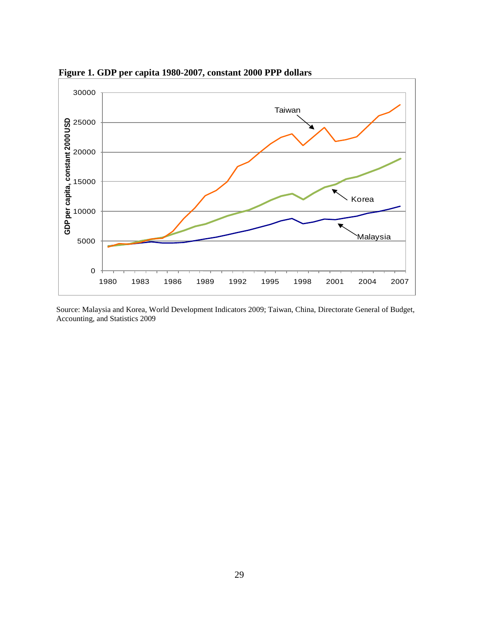

 **Figure 1. GDP per capita 1980-2007, constant 2000 PPP dollars** 

Source: Malaysia and Korea, World Development Indicators 2009; Taiwan, China, Directorate General of Budget, Accounting, and Statistics 2009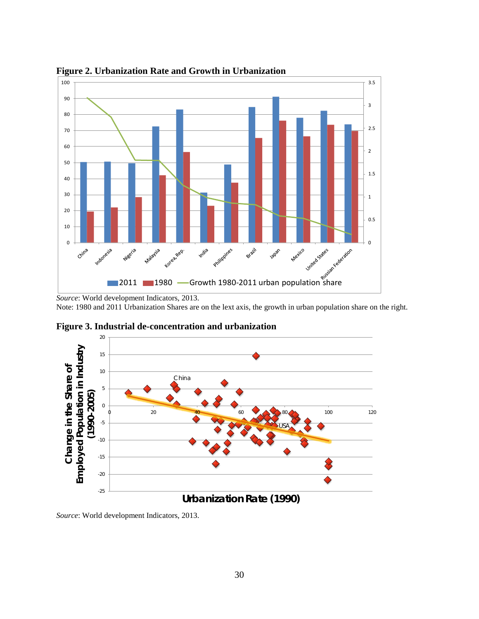

**Figure 2. Urbanization Rate and Growth in Urbanization** 

*Source*: World development Indicators, 2013.

Note: 1980 and 2011 Urbanization Shares are on the lext axis, the growth in urban population share on the right.



**Figure 3. Industrial de-concentration and urbanization**

*Source*: World development Indicators, 2013.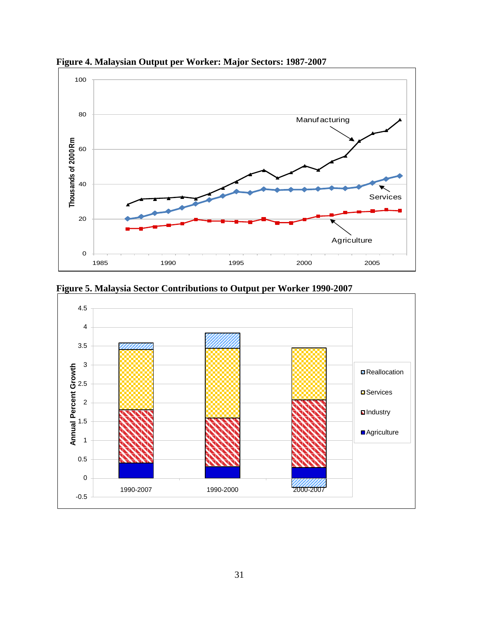

**Figure 4. Malaysian Output per Worker: Major Sectors: 1987-2007** 



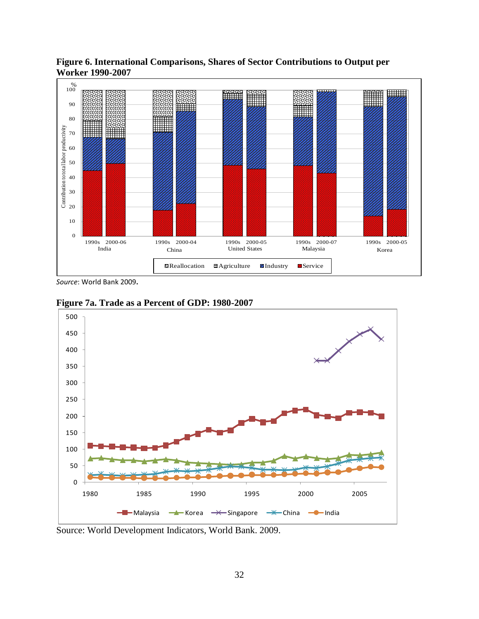

**Figure 6. International Comparisons, Shares of Sector Contributions to Output per Worker 1990-2007** 

*Source*: World Bank 2009**.**



**Figure 7a. Trade as a Percent of GDP: 1980-2007** 

Source: World Development Indicators, World Bank. 2009.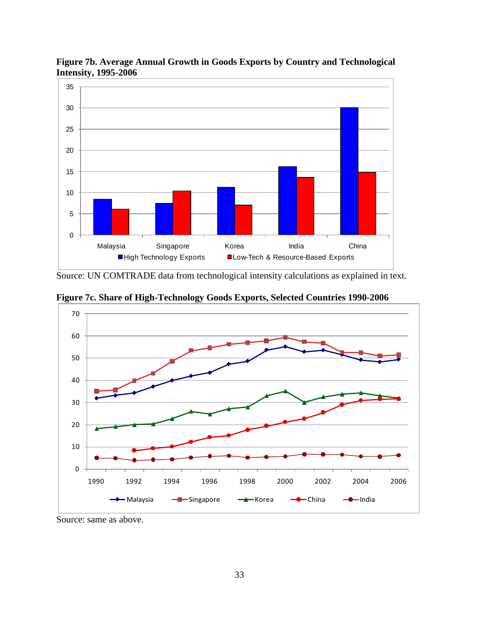

**Figure 7b. Average Annual Growth in Goods Exports by Country and Technological Intensity, 1995-2006** 

Source: UN COMTRADE data from technological intensity calculations as explained in text.

**Figure 7c. Share of High-Technology Goods Exports, Selected Countries 1990-2006**



Source: same as above.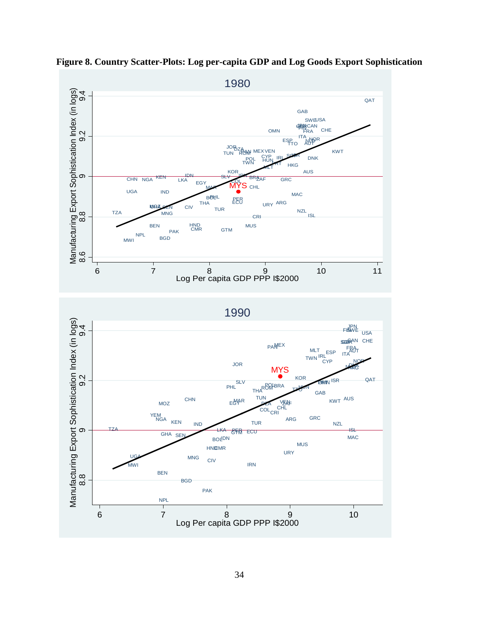

**Figure 8. Country Scatter-Plots: Log per-capita GDP and Log Goods Export Sophistication**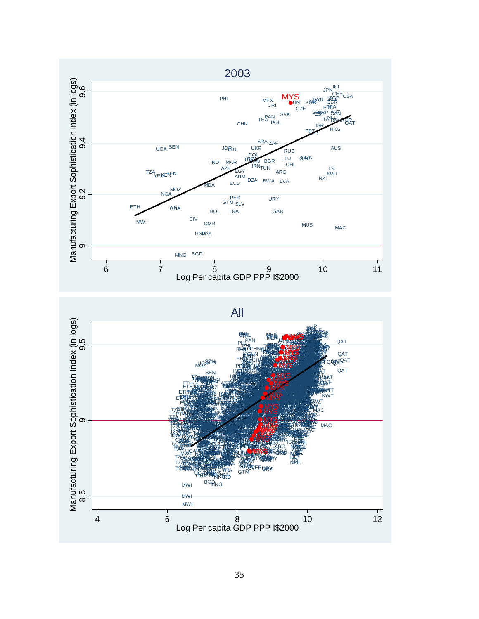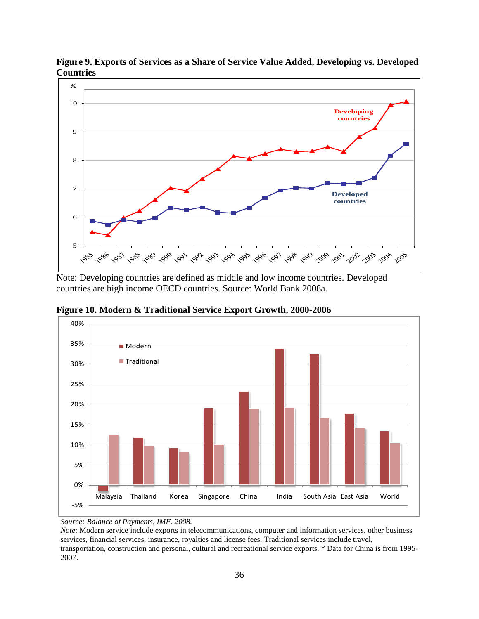

**Figure 9. Exports of Services as a Share of Service Value Added, Developing vs. Developed Countries**

Note: Developing countries are defined as middle and low income countries. Developed countries are high income OECD countries. Source: World Bank 2008a.



**Figure 10. Modern & Traditional Service Export Growth, 2000-2006** 

*Source: Balance of Payments, IMF. 2008.* 

*Note*: Modern service include exports in telecommunications, computer and information services, other business services, financial services, insurance, royalties and license fees. Traditional services include travel, transportation, construction and personal, cultural and recreational service exports. \* Data for China is from 1995- 2007.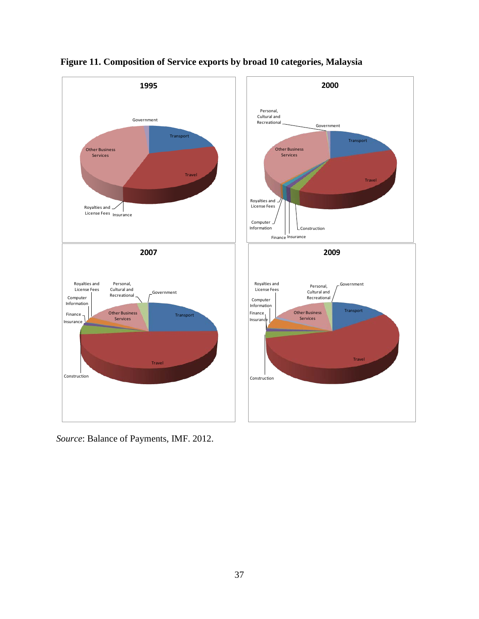



*Source*: Balance of Payments, IMF. 2012.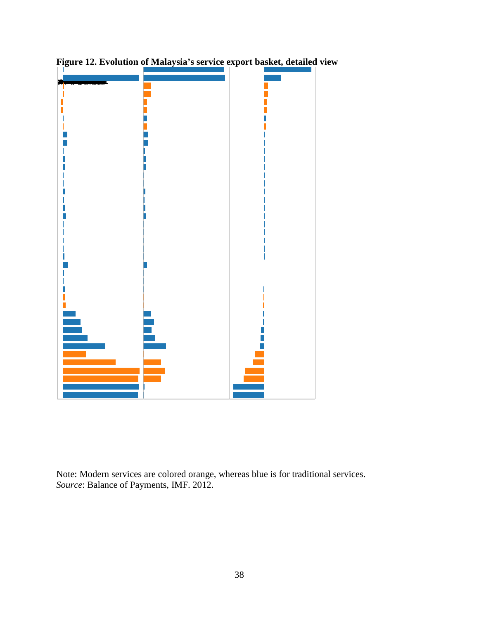

**Figure 12. Evolution of Malaysia's service export basket, detailed view** 

Note: Modern services are colored orange, whereas blue is for traditional services. *Source*: Balance of Payments, IMF. 2012.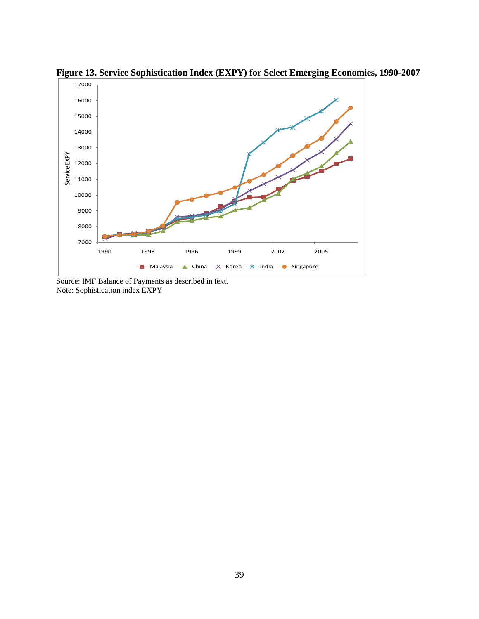

**Figure 13. Service Sophistication Index (EXPY) for Select Emerging Economies, 1990-2007** 

Source: IMF Balance of Payments as described in text. Note: Sophistication index EXPY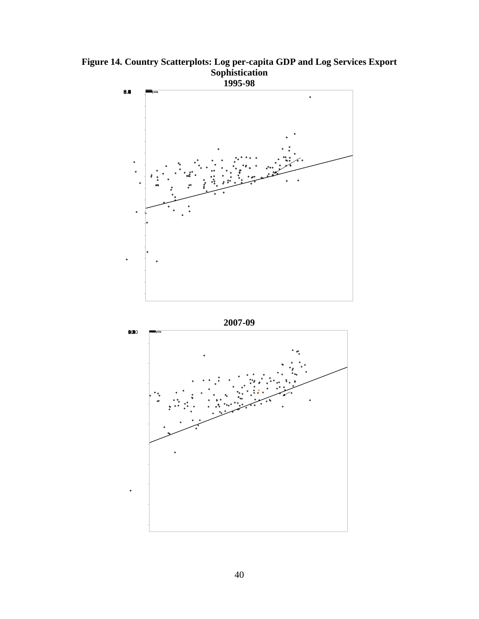**Figure 14. Country Scatterplots: Log per-capita GDP and Log Services Export Sophistication** 



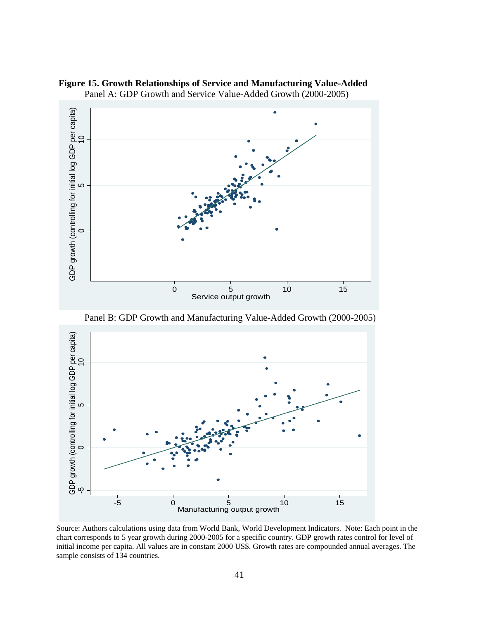

**Figure 15. Growth Relationships of Service and Manufacturing Value-Added** Panel A: GDP Growth and Service Value-Added Growth (2000-2005)

Panel B: GDP Growth and Manufacturing Value-Added Growth (2000-2005)



Source: Authors calculations using data from World Bank, World Development Indicators. Note: Each point in the chart corresponds to 5 year growth during 2000-2005 for a specific country. GDP growth rates control for level of initial income per capita. All values are in constant 2000 US\$. Growth rates are compounded annual averages. The sample consists of 134 countries.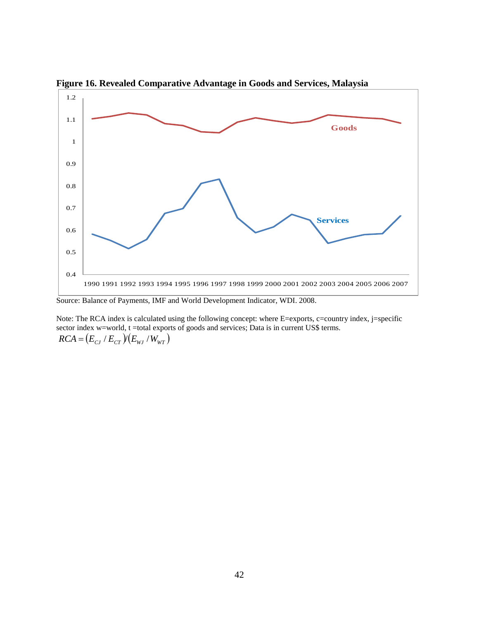

**Figure 16. Revealed Comparative Advantage in Goods and Services, Malaysia** 

Source: Balance of Payments, IMF and World Development Indicator, WDI. 2008.

Note: The RCA index is calculated using the following concept: where E=exports, c=country index, j=specific sector index w=world, t =total exports of goods and services; Data is in current US\$ terms.  $RCA = (E_{CJ} / E_{CT})/(E_{WJ} / W_{WT})$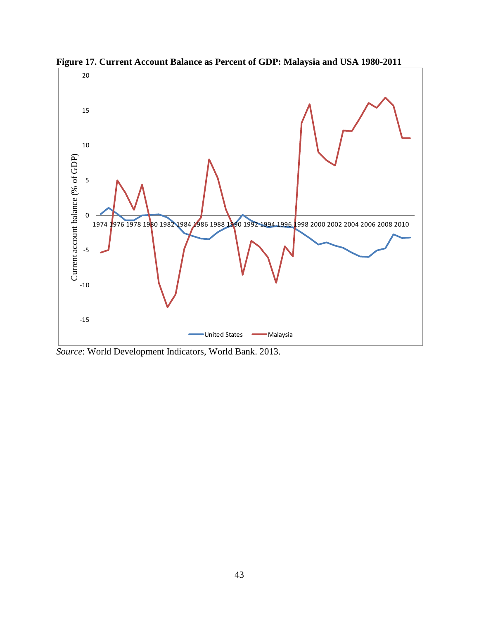

**Figure 17. Current Account Balance as Percent of GDP: Malaysia and USA 1980-2011**

*Source*: World Development Indicators, World Bank. 2013.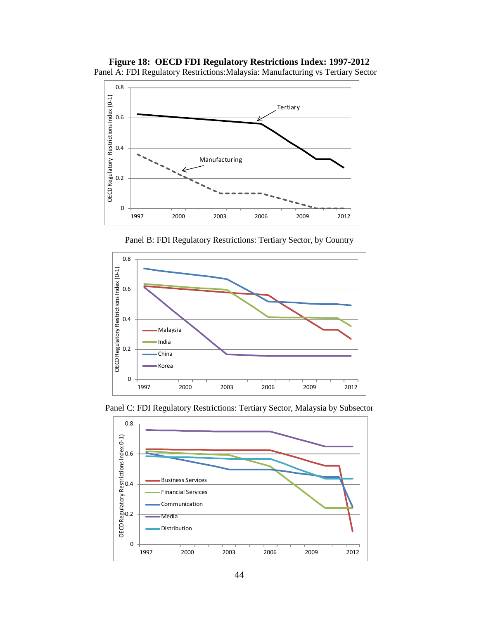



Panel B: FDI Regulatory Restrictions: Tertiary Sector, by Country





Panel C: FDI Regulatory Restrictions: Tertiary Sector, Malaysia by Subsector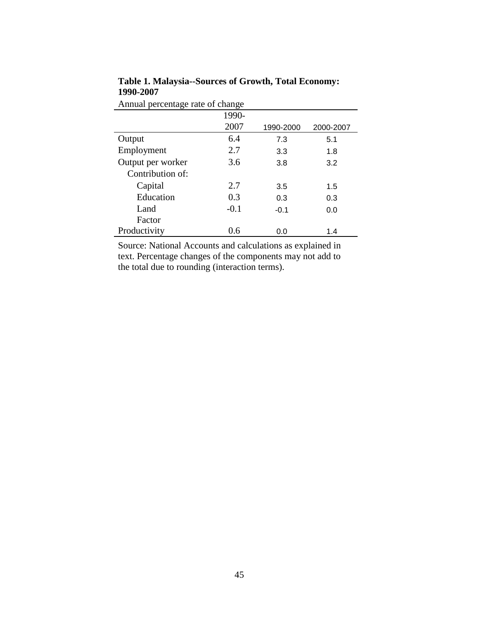| Annual percentage rate of change |        |           |           |  |  |  |
|----------------------------------|--------|-----------|-----------|--|--|--|
| 1990-                            |        |           |           |  |  |  |
|                                  | 2007   | 1990-2000 | 2000-2007 |  |  |  |
| Output                           | 6.4    | 7.3       | 5.1       |  |  |  |
| Employment                       | 2.7    | 3.3       | 1.8       |  |  |  |
| Output per worker                | 3.6    | 3.8       | 3.2       |  |  |  |
| Contribution of:                 |        |           |           |  |  |  |
| Capital                          | 2.7    | 3.5       | 1.5       |  |  |  |
| Education                        | 0.3    | 0.3       | 0.3       |  |  |  |
| Land                             | $-0.1$ | $-0.1$    | 0.0       |  |  |  |
| Factor                           |        |           |           |  |  |  |
| Productivity                     | 0.6    | 0.0       | 1.4       |  |  |  |

**Table 1. Malaysia--Sources of Growth, Total Economy: 1990-2007**

Source: National Accounts and calculations as explained in text. Percentage changes of the components may not add to the total due to rounding (interaction terms).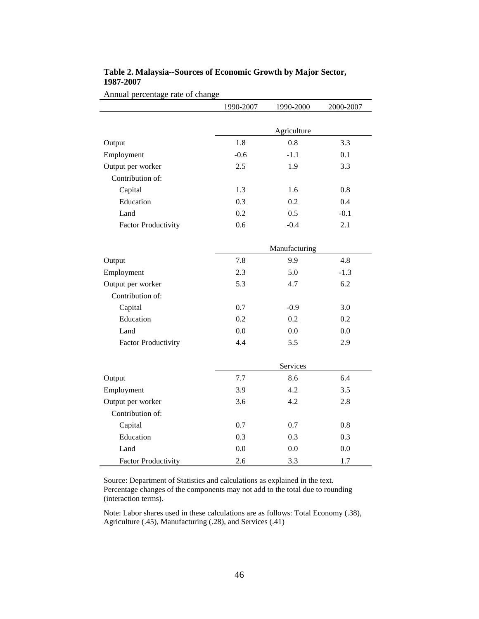|                            | 1990-2007 | 1990-2000     | 2000-2007 |
|----------------------------|-----------|---------------|-----------|
|                            |           |               |           |
|                            |           | Agriculture   |           |
| Output                     | 1.8       | 0.8           | 3.3       |
| Employment                 | $-0.6$    | $-1.1$        | 0.1       |
| Output per worker          | 2.5       | 1.9           | 3.3       |
| Contribution of:           |           |               |           |
| Capital                    | 1.3       | 1.6           | 0.8       |
| Education                  | 0.3       | 0.2           | 0.4       |
| Land                       | 0.2       | 0.5           | $-0.1$    |
| <b>Factor Productivity</b> | 0.6       | $-0.4$        | 2.1       |
|                            |           | Manufacturing |           |
| Output                     | 7.8       | 9.9           | 4.8       |
| Employment                 | 2.3       | 5.0           | $-1.3$    |
| Output per worker          | 5.3       | 4.7           | 6.2       |
| Contribution of:           |           |               |           |
| Capital                    | 0.7       | $-0.9$        | 3.0       |
| Education                  | 0.2       | 0.2           | 0.2       |
| Land                       | 0.0       | 0.0           | 0.0       |
| <b>Factor Productivity</b> | 4.4       | 5.5           | 2.9       |
|                            |           | Services      |           |
| Output                     | 7.7       | 8.6           | 6.4       |
| Employment                 | 3.9       | 4.2           | 3.5       |
| Output per worker          | 3.6       | 4.2           | 2.8       |
| Contribution of:           |           |               |           |
| Capital                    | 0.7       | 0.7           | 0.8       |
| Education                  | 0.3       | 0.3           | 0.3       |
| Land                       | 0.0       | 0.0           | 0.0       |
| <b>Factor Productivity</b> | 2.6       | 3.3           | 1.7       |

### **Table 2. Malaysia--Sources of Economic Growth by Major Sector, 1987-2007**

Annual percentage rate of change

Source: Department of Statistics and calculations as explained in the text. Percentage changes of the components may not add to the total due to rounding (interaction terms).

 $\blacksquare$ 

Note: Labor shares used in these calculations are as follows: Total Economy (.38), Agriculture (.45), Manufacturing (.28), and Services (.41)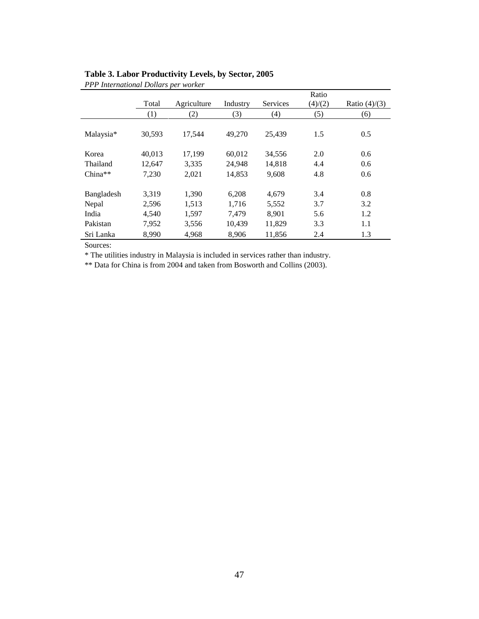|            | Total  | Agriculture | Industry | Services | Ratio<br>(4)/(2) | Ratio $(4)/(3)$ |
|------------|--------|-------------|----------|----------|------------------|-----------------|
|            | (1)    | (2)         | (3)      | (4)      | (5)              | (6)             |
| Malaysia*  | 30,593 | 17,544      | 49,270   | 25,439   | 1.5              | 0.5             |
| Korea      | 40.013 | 17,199      | 60.012   | 34,556   | 2.0              | 0.6             |
| Thailand   | 12.647 | 3,335       | 24.948   | 14.818   | 4.4              | 0.6             |
| $China**$  | 7.230  | 2,021       | 14,853   | 9,608    | 4.8              | 0.6             |
| Bangladesh | 3,319  | 1,390       | 6,208    | 4,679    | 3.4              | 0.8             |
| Nepal      | 2,596  | 1,513       | 1,716    | 5,552    | 3.7              | 3.2             |
| India      | 4.540  | 1,597       | 7.479    | 8.901    | 5.6              | 1.2             |
| Pakistan   | 7,952  | 3,556       | 10,439   | 11,829   | 3.3              | 1.1             |
| Sri Lanka  | 8.990  | 4.968       | 8.906    | 11,856   | 2.4              | 1.3             |

## **Table 3. Labor Productivity Levels, by Sector, 2005** *PPP International Dollars per worker*

Sources:

\* The utilities industry in Malaysia is included in services rather than industry.

\*\* Data for China is from 2004 and taken from Bosworth and Collins (2003).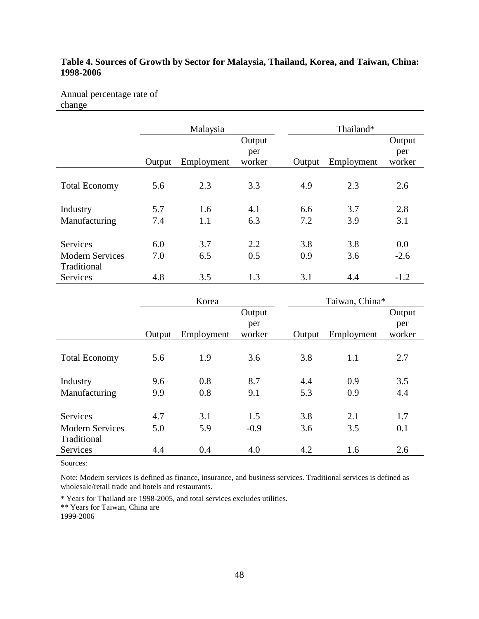## **Table 4. Sources of Growth by Sector for Malaysia, Thailand, Korea, and Taiwan, China: 1998-2006**

Annual percentage rate of change

|                        |        | Malaysia   |               |        | Thailand*  |        |
|------------------------|--------|------------|---------------|--------|------------|--------|
|                        |        |            | Output        |        |            | Output |
|                        |        |            | per<br>worker |        |            | per    |
|                        | Output | Employment |               | Output | Employment | worker |
| <b>Total Economy</b>   | 5.6    | 2.3        | 3.3           | 4.9    | 2.3        | 2.6    |
| Industry               | 5.7    | 1.6        | 4.1           | 6.6    | 3.7        | 2.8    |
| Manufacturing          | 7.4    | 1.1        | 6.3           | 7.2    | 3.9        | 3.1    |
| Services               | 6.0    | 3.7        | 2.2           | 3.8    | 3.8        | 0.0    |
| <b>Modern Services</b> | 7.0    | 6.5        | 0.5           | 0.9    | 3.6        | $-2.6$ |
| Traditional            |        |            |               |        |            |        |
| <b>Services</b>        | 4.8    | 3.5        | 1.3           | 3.1    | 4.4        | $-1.2$ |

|                        | Korea  |            |        |        | Taiwan, China* |        |  |
|------------------------|--------|------------|--------|--------|----------------|--------|--|
|                        |        |            | Output |        |                | Output |  |
|                        |        |            | per    |        |                | per    |  |
|                        | Output | Employment | worker | Output | Employment     | worker |  |
|                        |        |            |        |        |                |        |  |
| <b>Total Economy</b>   | 5.6    | 1.9        | 3.6    | 3.8    | 1.1            | 2.7    |  |
|                        |        |            |        |        |                |        |  |
| Industry               | 9.6    | 0.8        | 8.7    | 4.4    | 0.9            | 3.5    |  |
| Manufacturing          | 9.9    | 0.8        | 9.1    | 5.3    | 0.9            | 4.4    |  |
|                        |        |            |        |        |                |        |  |
| <b>Services</b>        | 4.7    | 3.1        | 1.5    | 3.8    | 2.1            | 1.7    |  |
| <b>Modern Services</b> | 5.0    | 5.9        | $-0.9$ | 3.6    | 3.5            | 0.1    |  |
| Traditional            |        |            |        |        |                |        |  |
| Services               | 4.4    | 0.4        | 4.0    | 4.2    | 1.6            | 2.6    |  |

Sources:

Note: Modern services is defined as finance, insurance, and business services. Traditional services is defined as wholesale/retail trade and hotels and restaurants.

\* Years for Thailand are 1998-2005, and total services excludes utilities.

\*\* Years for Taiwan, China are

1999-2006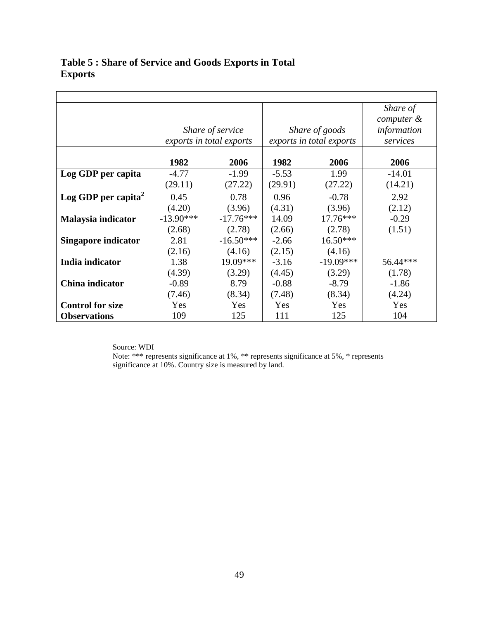|                         |             |                          |         |                          | Share of    |
|-------------------------|-------------|--------------------------|---------|--------------------------|-------------|
|                         |             |                          |         |                          | computer &  |
|                         |             | Share of service         |         | Share of goods           | information |
|                         |             | exports in total exports |         | exports in total exports | services    |
|                         |             |                          |         |                          |             |
|                         | 1982        | 2006                     | 1982    | 2006                     | 2006        |
| Log GDP per capita      | $-4.77$     | $-1.99$                  | $-5.53$ | 1.99                     | $-14.01$    |
|                         | (29.11)     | (27.22)                  | (29.91) | (27.22)                  | (14.21)     |
| Log GDP per capita $^2$ | 0.45        | 0.78                     | 0.96    | $-0.78$                  | 2.92        |
|                         | (4.20)      | (3.96)                   | (4.31)  | (3.96)                   | (2.12)      |
| Malaysia indicator      | $-13.90***$ | $-17.76***$              | 14.09   | $17.76***$               | $-0.29$     |
|                         | (2.68)      | (2.78)                   | (2.66)  | (2.78)                   | (1.51)      |
| Singapore indicator     | 2.81        | $-16.50***$              | $-2.66$ | $16.50***$               |             |
|                         | (2.16)      | (4.16)                   | (2.15)  | (4.16)                   |             |
| India indicator         | 1.38        | $19.09***$               | $-3.16$ | $-19.09***$              | 56.44***    |
|                         | (4.39)      | (3.29)                   | (4.45)  | (3.29)                   | (1.78)      |
| China indicator         | $-0.89$     | 8.79                     | $-0.88$ | $-8.79$                  | $-1.86$     |
|                         | (7.46)      | (8.34)                   | (7.48)  | (8.34)                   | (4.24)      |
| <b>Control for size</b> | Yes         | Yes                      | Yes     | Yes                      | Yes         |
| <b>Observations</b>     | 109         | 125                      | 111     | 125                      | 104         |

# **Table 5 : Share of Service and Goods Exports in Total Exports**

Source: WDI

Note: \*\*\* represents significance at 1%, \*\* represents significance at 5%, \* represents significance at 10%. Country size is measured by land.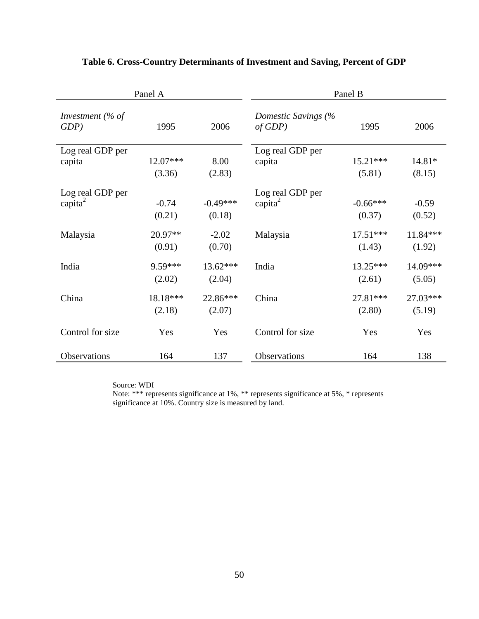|                                 | Panel A              |                      |                                         | Panel B              |                    |
|---------------------------------|----------------------|----------------------|-----------------------------------------|----------------------|--------------------|
| Investment (% of<br>$GDP$ )     | 1995                 | 2006                 | Domestic Savings (%<br>of GDP           | 1995                 | 2006               |
| Log real GDP per<br>capita      | $12.07***$<br>(3.36) | 8.00<br>(2.83)       | Log real GDP per<br>capita              | $15.21***$<br>(5.81) | 14.81*<br>(8.15)   |
| Log real GDP per<br>capita $^2$ | $-0.74$<br>(0.21)    | $-0.49***$<br>(0.18) | Log real GDP per<br>capita <sup>2</sup> | $-0.66***$<br>(0.37) | $-0.59$<br>(0.52)  |
| Malaysia                        | 20.97**<br>(0.91)    | $-2.02$<br>(0.70)    | Malaysia                                | $17.51***$<br>(1.43) | 11.84***<br>(1.92) |
| India                           | 9.59***<br>(2.02)    | $13.62***$<br>(2.04) | India                                   | $13.25***$<br>(2.61) | 14.09***<br>(5.05) |
| China                           | 18.18***<br>(2.18)   | 22.86***<br>(2.07)   | China                                   | $27.81***$<br>(2.80) | 27.03***<br>(5.19) |
| Control for size                | Yes                  | Yes                  | Control for size                        | Yes                  | Yes                |
| Observations                    | 164                  | 137                  | Observations                            | 164                  | 138                |

## **Table 6. Cross-Country Determinants of Investment and Saving, Percent of GDP**

Source: WDI

Note: \*\*\* represents significance at 1%, \*\* represents significance at 5%, \* represents significance at 10%. Country size is measured by land.